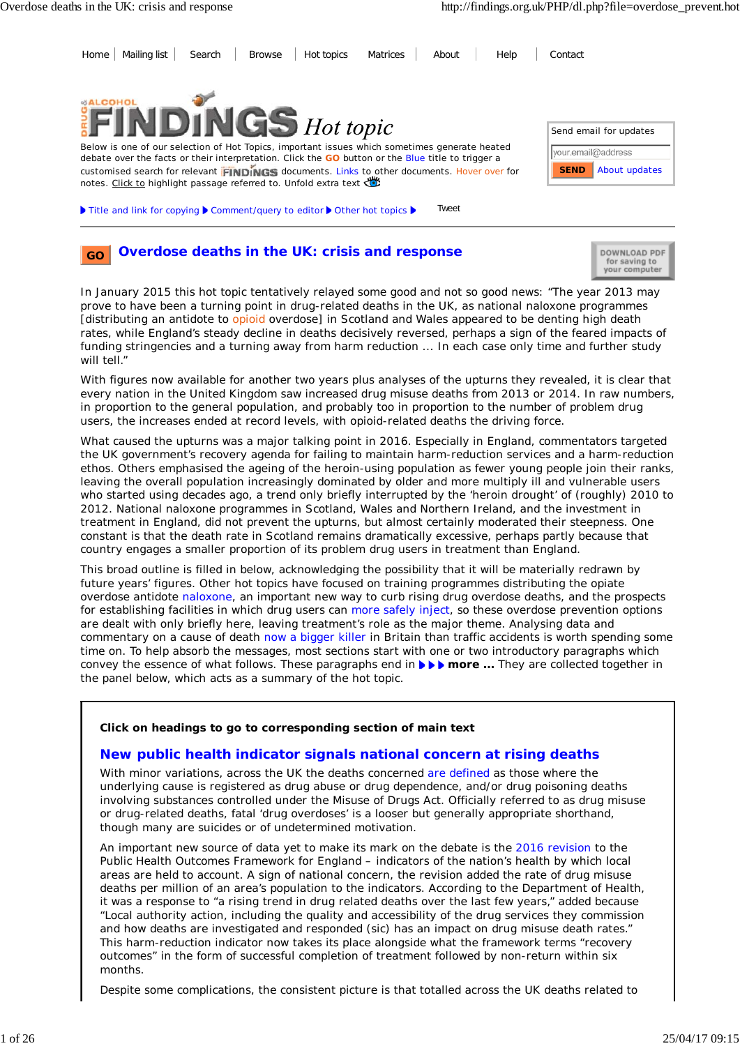

#### **Overdose deaths in the UK: crisis and response GO**

| DOWNLOAD PDF<br>for saving to<br>your computer |
|------------------------------------------------|
|------------------------------------------------|

In January 2015 this hot topic tentatively relayed some good and not so good news: "The year 2013 may prove to have been a turning point in drug-related deaths in the UK, as national naloxone programmes [distributing an antidote to opioid overdose] in Scotland and Wales appeared to be denting high death rates, while England's steady decline in deaths decisively reversed, perhaps a sign of the feared impacts of funding stringencies and a turning away from harm reduction ... In each case only time and further study will tell."

With figures now available for another two years plus analyses of the upturns they revealed, it is clear that every nation in the United Kingdom saw increased drug misuse deaths from 2013 or 2014. In raw numbers, in proportion to the general population, and probably too in proportion to the number of problem drug users, the increases ended at record levels, with opioid-related deaths the driving force.

What caused the upturns was a major talking point in 2016. Especially in England, commentators targeted the UK government's recovery agenda for failing to maintain harm-reduction services and a harm-reduction ethos. Others emphasised the ageing of the heroin-using population as fewer young people join their ranks, leaving the overall population increasingly dominated by older and more multiply ill and vulnerable users who started using decades ago, a trend only briefly interrupted by the 'heroin drought' of (roughly) 2010 to 2012. National naloxone programmes in Scotland, Wales and Northern Ireland, and the investment in treatment in England, did not prevent the upturns, but almost certainly moderated their steepness. One constant is that the death rate in Scotland remains dramatically excessive, perhaps partly because that country engages a smaller proportion of its problem drug users in treatment than England.

This broad outline is filled in below, acknowledging the possibility that it will be materially redrawn by future years' figures. Other hot topics have focused on training programmes distributing the opiate overdose antidote naloxone, an important new way to curb rising drug overdose deaths, and the prospects for establishing facilities in which drug users can more safely inject, so these overdose prevention options are dealt with only briefly here, leaving treatment's role as the major theme. Analysing data and commentary on a cause of death now a bigger killer in Britain than traffic accidents is worth spending some time on. To help absorb the messages, most sections start with one or two introductory paragraphs which convey the essence of what follows. These paragraphs end in **FFF** more ... They are collected together in the panel below, which acts as a summary of the hot topic.

### **Click on headings to go to corresponding section of main text**

## **New public health indicator signals national concern at rising deaths**

With minor variations, across the UK the deaths concerned are defined as those where the underlying cause is registered as drug abuse or drug dependence, and/or drug poisoning deaths involving substances controlled under the Misuse of Drugs Act. Officially referred to as drug misuse or drug-related deaths, fatal 'drug overdoses' is a looser but generally appropriate shorthand, though many are suicides or of undetermined motivation.

An important new source of data yet to make its mark on the debate is the 2016 revision to the Public Health Outcomes Framework for England – indicators of the nation's health by which local areas are held to account. A sign of national concern, the revision added the rate of drug misuse deaths per million of an area's population to the indicators. According to the Department of Health, it was a response to "a rising trend in drug related deaths over the last few years," added because "Local authority action, including the quality and accessibility of the drug services they commission and how deaths are investigated and responded (sic) has an impact on drug misuse death rates." This harm-reduction indicator now takes its place alongside what the framework terms "recovery outcomes" in the form of successful completion of treatment followed by non-return within six months.

Despite some complications, the consistent picture is that totalled across the UK deaths related to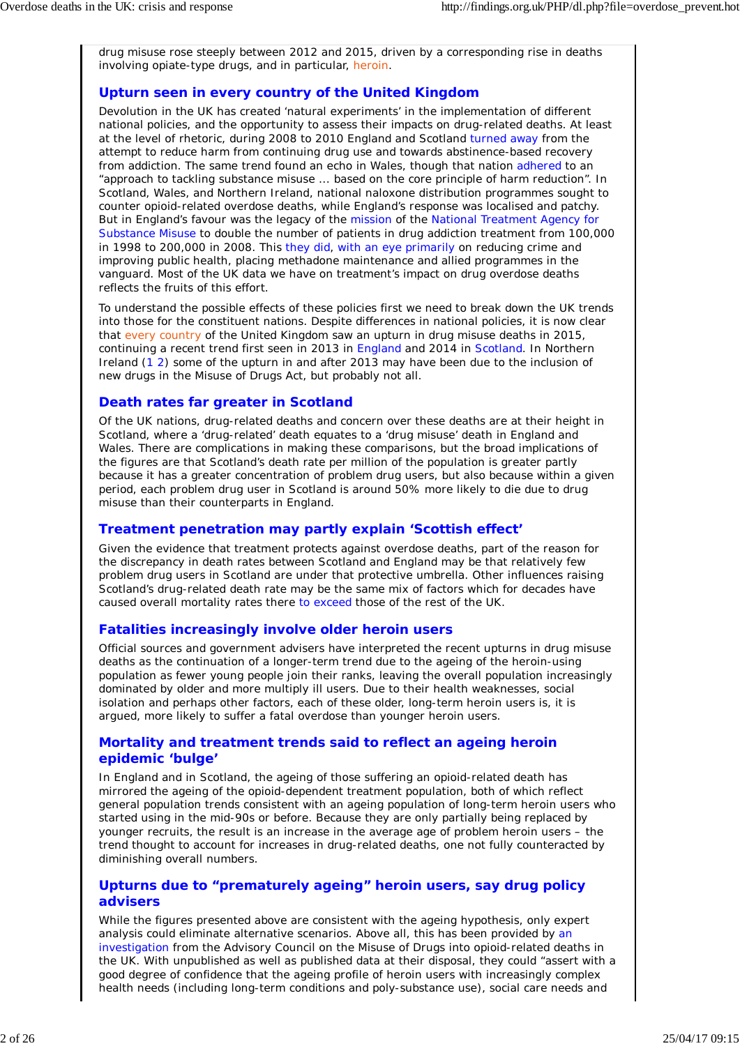drug misuse rose steeply between 2012 and 2015, driven by a corresponding rise in deaths involving opiate-type drugs, and in particular, heroin.

# **Upturn seen in every country of the United Kingdom**

Devolution in the UK has created 'natural experiments' in the implementation of different national policies, and the opportunity to assess their impacts on drug-related deaths. At least at the level of rhetoric, during 2008 to 2010 England and Scotland turned away from the attempt to reduce harm from continuing drug use and towards abstinence-based recovery from addiction. The same trend found an echo in Wales, though that nation adhered to an "approach to tackling substance misuse ... based on the core principle of harm reduction". In Scotland, Wales, and Northern Ireland, national naloxone distribution programmes sought to counter opioid-related overdose deaths, while England's response was localised and patchy. But in England's favour was the legacy of the mission of the National Treatment Agency for Substance Misuse to double the number of patients in drug addiction treatment from 100,000 in 1998 to 200,000 in 2008. This they did, with an eye primarily on reducing crime and improving public health, placing methadone maintenance and allied programmes in the vanguard. Most of the UK data we have on treatment's impact on drug overdose deaths reflects the fruits of this effort.

To understand the possible effects of these policies first we need to break down the UK trends into those for the constituent nations. Despite differences in national policies, it is now clear that every country of the United Kingdom saw an upturn in drug misuse deaths in 2015, continuing a recent trend first seen in 2013 in England and 2014 in Scotland. In Northern Ireland (1 2) some of the upturn in and after 2013 may have been due to the inclusion of new drugs in the Misuse of Drugs Act, but probably not all.

## **Death rates far greater in Scotland**

Of the UK nations, drug-related deaths and concern over these deaths are at their height in Scotland, where a 'drug-related' death equates to a 'drug misuse' death in England and Wales. There are complications in making these comparisons, but the broad implications of the figures are that Scotland's death rate per million of the population is greater partly because it has a greater concentration of problem drug users, but also because within a given period, each problem drug user in Scotland is around 50% more likely to die due to drug misuse than their counterparts in England.

## **Treatment penetration may partly explain 'Scottish effect'**

Given the evidence that treatment protects against overdose deaths, part of the reason for the discrepancy in death rates between Scotland and England may be that relatively few problem drug users in Scotland are under that protective umbrella. Other influences raising Scotland's drug-related death rate may be the same mix of factors which for decades have caused overall mortality rates there to exceed those of the rest of the UK.

### **Fatalities increasingly involve older heroin users**

Official sources and government advisers have interpreted the recent upturns in drug misuse deaths as the continuation of a longer-term trend due to the ageing of the heroin-using population as fewer young people join their ranks, leaving the overall population increasingly dominated by older and more multiply ill users. Due to their health weaknesses, social isolation and perhaps other factors, each of these older, long-term heroin users is, it is argued, more likely to suffer a fatal overdose than younger heroin users.

### **Mortality and treatment trends said to reflect an ageing heroin epidemic 'bulge'**

In England and in Scotland, the ageing of those suffering an opioid-related death has mirrored the ageing of the opioid-dependent treatment population, both of which reflect general population trends consistent with an ageing population of long-term heroin users who started using in the mid-90s or before. Because they are only partially being replaced by younger recruits, the result is an increase in the average age of problem heroin users – the trend thought to account for increases in drug-related deaths, one not fully counteracted by diminishing overall numbers.

### **Upturns due to "prematurely ageing" heroin users, say drug policy advisers**

While the figures presented above are consistent with the ageing hypothesis, only expert analysis could eliminate alternative scenarios. Above all, this has been provided by an investigation from the Advisory Council on the Misuse of Drugs into opioid-related deaths in the UK. With unpublished as well as published data at their disposal, they could "assert with a good degree of confidence that the ageing profile of heroin users with increasingly complex health needs (including long-term conditions and poly-substance use), social care needs and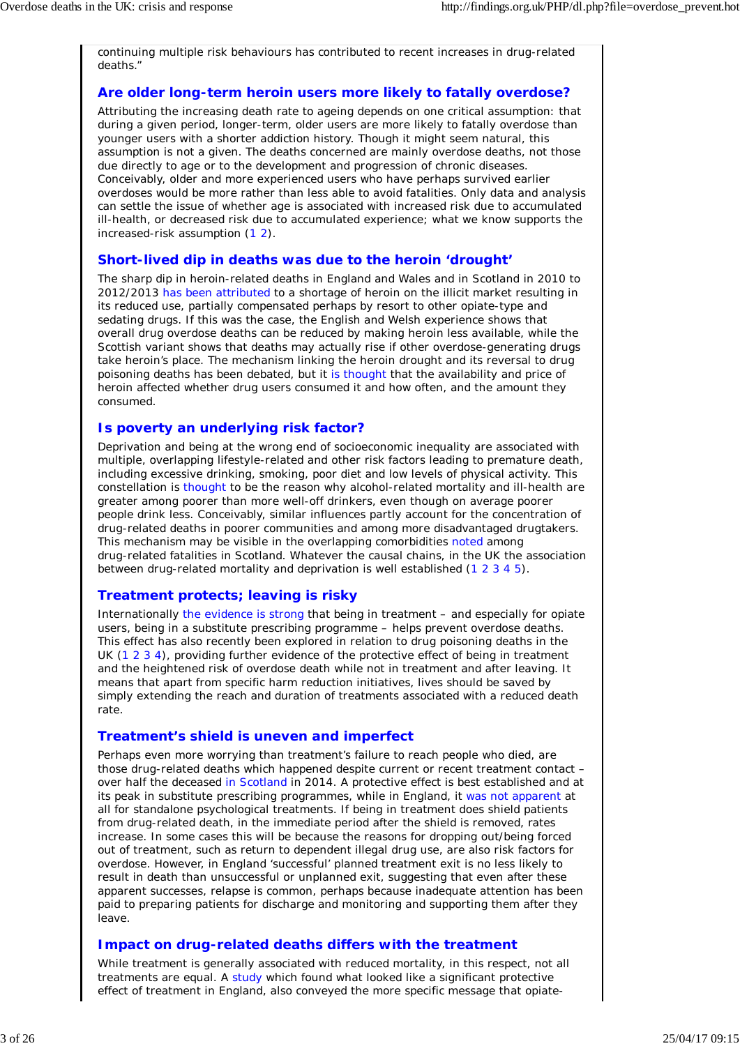continuing multiple risk behaviours has contributed to recent increases in drug-related deaths."

## **Are older long-term heroin users more likely to fatally overdose?**

Attributing the increasing death rate to ageing depends on one critical assumption: that during a given period, longer-term, older users are more likely to fatally overdose than younger users with a shorter addiction history. Though it might seem natural, this assumption is not a given. The deaths concerned are mainly overdose deaths, not those due directly to age or to the development and progression of chronic diseases. Conceivably, older and more experienced users who have perhaps survived earlier overdoses would be more rather than less able to avoid fatalities. Only data and analysis can settle the issue of whether age is associated with increased risk due to accumulated ill-health, or decreased risk due to accumulated experience; what we know supports the increased-risk assumption (1 2).

## **Short-lived dip in deaths was due to the heroin 'drought'**

The sharp dip in heroin-related deaths in England and Wales and in Scotland in 2010 to 2012/2013 has been attributed to a shortage of heroin on the illicit market resulting in its reduced use, partially compensated perhaps by resort to other opiate-type and sedating drugs. If this was the case, the English and Welsh experience shows that overall drug overdose deaths can be reduced by making heroin less available, while the Scottish variant shows that deaths may actually rise if other overdose-generating drugs take heroin's place. The mechanism linking the heroin drought and its reversal to drug poisoning deaths has been debated, but it is thought that the availability and price of heroin affected whether drug users consumed it and how often, and the amount they consumed.

## **Is poverty an underlying risk factor?**

Deprivation and being at the wrong end of socioeconomic inequality are associated with multiple, overlapping lifestyle-related and other risk factors leading to premature death, including excessive drinking, smoking, poor diet and low levels of physical activity. This constellation is thought to be the reason why alcohol-related mortality and ill-health are greater among poorer than more well-off drinkers, even though on average poorer people drink less. Conceivably, similar influences partly account for the concentration of drug-related deaths in poorer communities and among more disadvantaged drugtakers. This mechanism may be visible in the overlapping comorbidities noted among drug-related fatalities in Scotland. Whatever the causal chains, in the UK the association between drug-related mortality and deprivation is well established (1 2 3 4 5).

## **Treatment protects; leaving is risky**

Internationally the evidence is strong that being in treatment – and especially for opiate users, being in a substitute prescribing programme – helps prevent overdose deaths. This effect has also recently been explored in relation to drug poisoning deaths in the UK (1 2 3 4), providing further evidence of the protective effect of being in treatment and the heightened risk of overdose death while not in treatment and after leaving. It means that apart from specific harm reduction initiatives, lives should be saved by simply extending the reach and duration of treatments associated with a reduced death rate.

### **Treatment's shield is uneven and imperfect**

Perhaps even more worrying than treatment's failure to reach people who died, are those drug-related deaths which happened despite current or recent treatment contact – over half the deceased in Scotland in 2014. A protective effect is best established and at its peak in substitute prescribing programmes, while in England, it was not apparent at all for standalone psychological treatments. If being in treatment does shield patients from drug-related death, in the immediate period after the shield is removed, rates increase. In some cases this will be because the reasons for dropping out/being forced out of treatment, such as return to dependent illegal drug use, are also risk factors for overdose. However, in England 'successful' planned treatment exit is no less likely to result in death than unsuccessful or unplanned exit, suggesting that even after these apparent successes, relapse is common, perhaps because inadequate attention has been paid to preparing patients for discharge and monitoring and supporting them after they leave.

### **Impact on drug-related deaths differs with the treatment**

While treatment is generally associated with reduced mortality, in this respect, not all treatments are equal. A study which found what looked like a significant protective effect of treatment in England, also conveyed the more specific message that opiate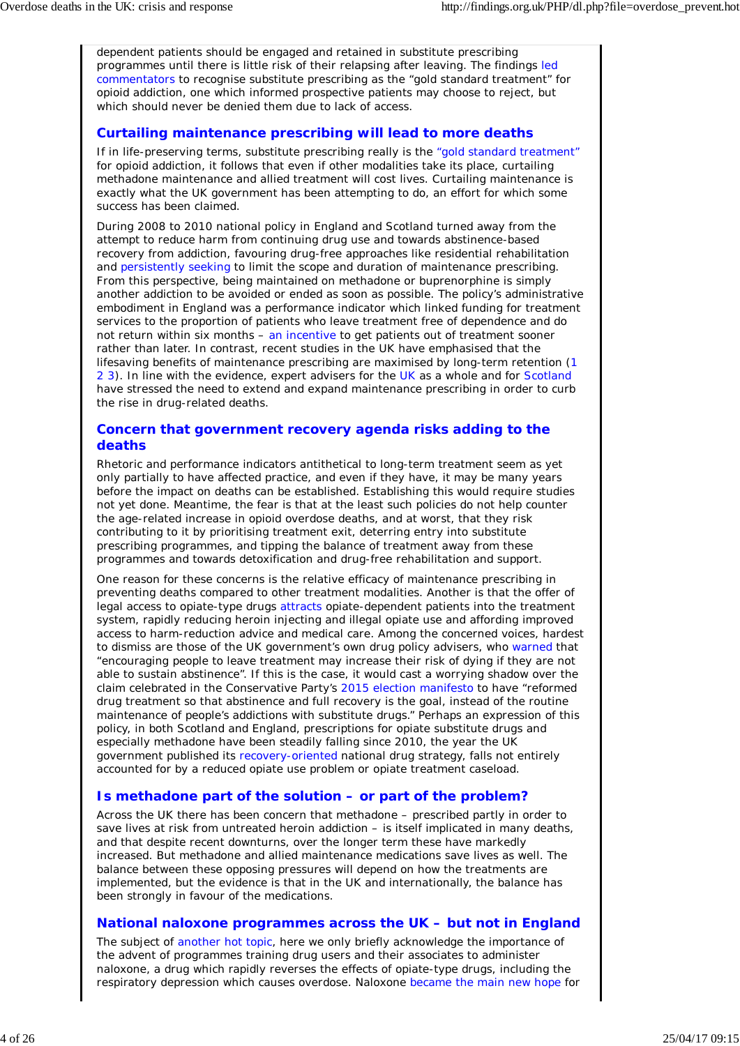dependent patients should be engaged and retained in substitute prescribing programmes until there is little risk of their relapsing after leaving. The findings led commentators to recognise substitute prescribing as the "gold standard treatment" for opioid addiction, one which informed prospective patients may choose to reject, but which should never be denied them due to lack of access.

## **Curtailing maintenance prescribing will lead to more deaths**

If in life-preserving terms, substitute prescribing really is the "gold standard treatment" for opioid addiction, it follows that even if other modalities take its place, curtailing methadone maintenance and allied treatment will cost lives. Curtailing maintenance is exactly what the UK government has been attempting to do, an effort for which some success has been claimed.

During 2008 to 2010 national policy in England and Scotland turned away from the attempt to reduce harm from continuing drug use and towards abstinence-based recovery from addiction, favouring drug-free approaches like residential rehabilitation and persistently seeking to limit the scope and duration of maintenance prescribing. From this perspective, being maintained on methadone or buprenorphine is simply another addiction to be avoided or ended as soon as possible. The policy's administrative embodiment in England was a performance indicator which linked funding for treatment services to the proportion of patients who leave treatment free of dependence and do not return within six months – an incentive to get patients out of treatment sooner rather than later. In contrast, recent studies in the UK have emphasised that the lifesaving benefits of maintenance prescribing are maximised by long-term retention (1 2 3). In line with the evidence, expert advisers for the UK as a whole and for Scotland have stressed the need to extend and expand maintenance prescribing in order to curb the rise in drug-related deaths.

### **Concern that government recovery agenda risks adding to the deaths**

Rhetoric and performance indicators antithetical to long-term treatment seem as yet only partially to have affected practice, and even if they have, it may be many years before the impact on deaths can be established. Establishing this would require studies not yet done. Meantime, the fear is that at the least such policies do not help counter the age-related increase in opioid overdose deaths, and at worst, that they risk contributing to it by prioritising treatment exit, deterring entry into substitute prescribing programmes, and tipping the balance of treatment away from these programmes and towards detoxification and drug-free rehabilitation and support.

One reason for these concerns is the relative efficacy of maintenance prescribing in preventing deaths compared to other treatment modalities. Another is that the offer of legal access to opiate-type drugs attracts opiate-dependent patients into the treatment system, rapidly reducing heroin injecting and illegal opiate use and affording improved access to harm-reduction advice and medical care. Among the concerned voices, hardest to dismiss are those of the UK government's own drug policy advisers, who warned that "encouraging people to leave treatment may increase their risk of dying if they are not able to sustain abstinence". If this is the case, it would cast a worrying shadow over the claim celebrated in the Conservative Party's 2015 election manifesto to have "reformed drug treatment so that abstinence and full recovery is the goal, instead of the routine maintenance of people's addictions with substitute drugs." Perhaps an expression of this policy, in both Scotland and England, prescriptions for opiate substitute drugs and especially methadone have been steadily falling since 2010, the year the UK government published its recovery-oriented national drug strategy, falls not entirely accounted for by a reduced opiate use problem or opiate treatment caseload.

## **Is methadone part of the solution – or part of the problem?**

Across the UK there has been concern that methadone – prescribed partly in order to save lives at risk from untreated heroin addiction – is itself implicated in many deaths, and that despite recent downturns, over the longer term these have markedly increased. But methadone and allied maintenance medications save lives as well. The balance between these opposing pressures will depend on how the treatments are implemented, but the evidence is that in the UK and internationally, the balance has been strongly in favour of the medications.

### **National naloxone programmes across the UK – but not in England**

The subject of another hot topic, here we only briefly acknowledge the importance of the advent of programmes training drug users and their associates to administer naloxone, a drug which rapidly reverses the effects of opiate-type drugs, including the respiratory depression which causes overdose. Naloxone became the main new hope for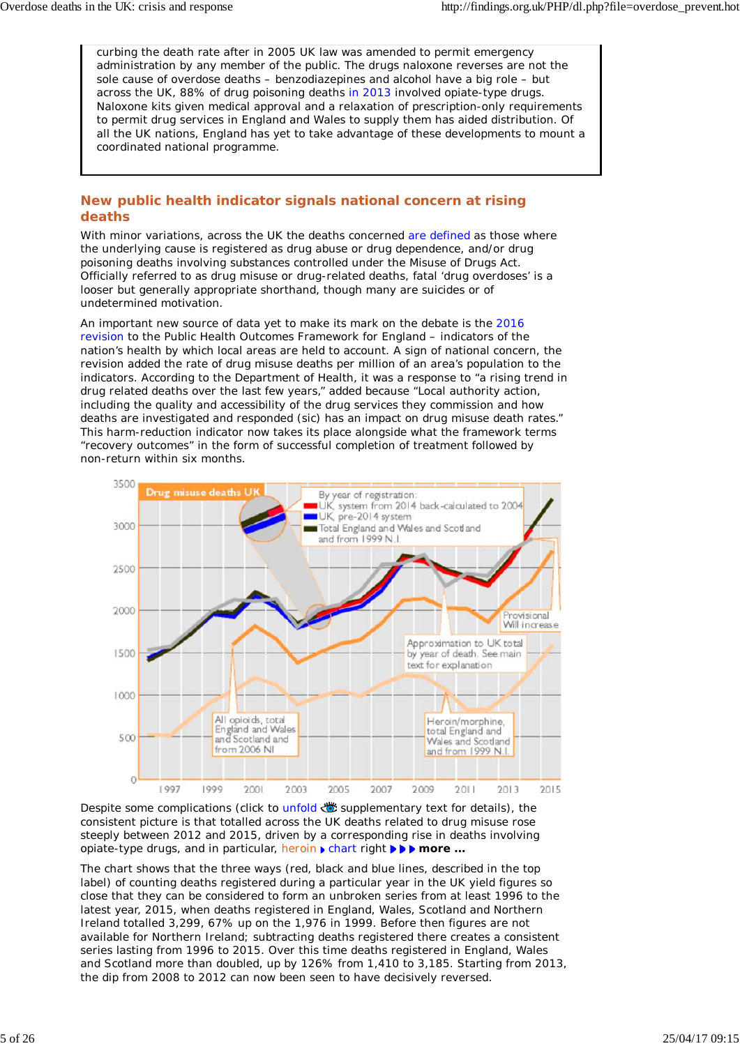curbing the death rate after in 2005 UK law was amended to permit emergency administration by any member of the public. The drugs naloxone reverses are not the sole cause of overdose deaths – benzodiazepines and alcohol have a big role – but across the UK, 88% of drug poisoning deaths in 2013 involved opiate-type drugs. Naloxone kits given medical approval and a relaxation of prescription-only requirements to permit drug services in England and Wales to supply them has aided distribution. Of all the UK nations, England has yet to take advantage of these developments to mount a coordinated national programme.

## **New public health indicator signals national concern at rising deaths**

With minor variations, across the UK the deaths concerned are defined as those where the underlying cause is registered as drug abuse or drug dependence, and/or drug poisoning deaths involving substances controlled under the Misuse of Drugs Act. Officially referred to as drug misuse or drug-related deaths, fatal 'drug overdoses' is a looser but generally appropriate shorthand, though many are suicides or of undetermined motivation.

An important new source of data yet to make its mark on the debate is the 2016 revision to the Public Health Outcomes Framework for England – indicators of the nation's health by which local areas are held to account. A sign of national concern, the revision added the rate of drug misuse deaths per million of an area's population to the indicators. According to the Department of Health, it was a response to "a rising trend in drug related deaths over the last few years," added because "Local authority action, including the quality and accessibility of the drug services they commission and how deaths are investigated and responded (sic) has an impact on drug misuse death rates." This harm-reduction indicator now takes its place alongside what the framework terms "recovery outcomes" in the form of successful completion of treatment followed by non-return within six months.



Despite some complications (click to unfold with supplementary text for details), the consistent picture is that totalled across the UK deaths related to drug misuse rose steeply between 2012 and 2015, driven by a corresponding rise in deaths involving opiate-type drugs, and in particular, heroin **Fight in the** *more* ...

The chart shows that the three ways (red, black and blue lines, described in the top label) of counting deaths registered during a particular year in the UK yield figures so close that they can be considered to form an unbroken series from at least 1996 to the latest year, 2015, when deaths registered in England, Wales, Scotland and Northern Ireland totalled 3,299, 67% up on the 1,976 in 1999. Before then figures are not available for Northern Ireland; subtracting deaths registered there creates a consistent series lasting from 1996 to 2015. Over this time deaths registered in England, Wales and Scotland more than doubled, up by 126% from 1,410 to 3,185. Starting from 2013, the dip from 2008 to 2012 can now been seen to have decisively reversed.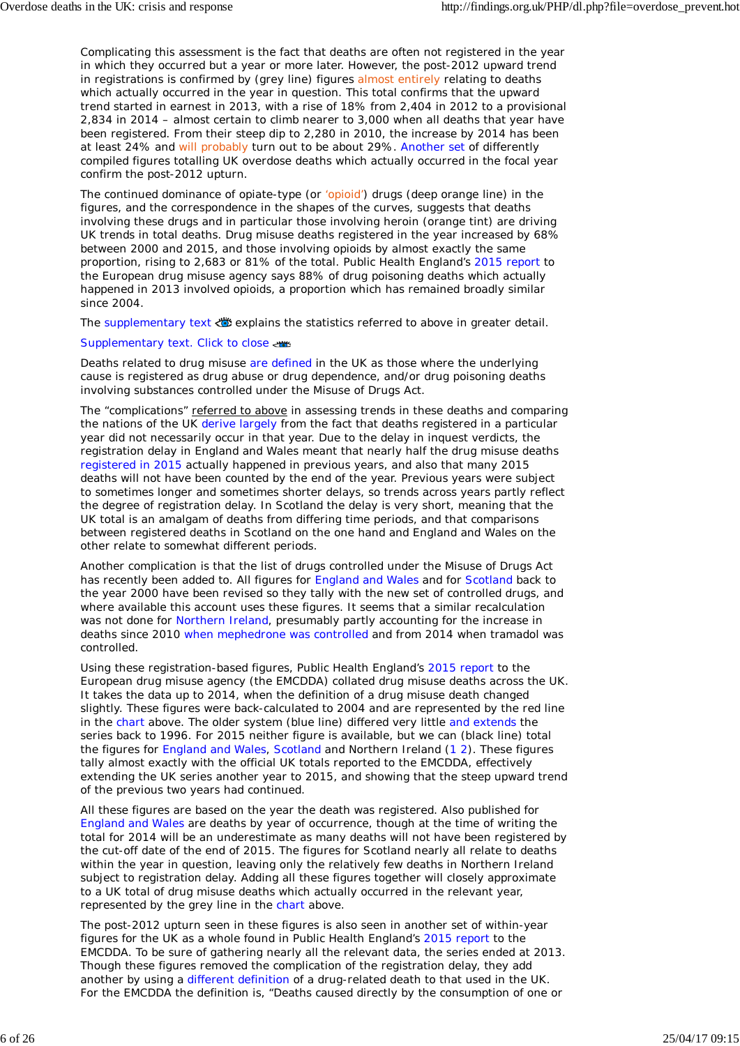Complicating this assessment is the fact that deaths are often not registered in the year in which they occurred but a year or more later. However, the post-2012 upward trend in registrations is confirmed by (grey line) figures almost entirely relating to deaths which actually occurred in the year in question. This total confirms that the upward trend started in earnest in 2013, with a rise of 18% from 2,404 in 2012 to a provisional 2,834 in 2014 – almost certain to climb nearer to 3,000 when all deaths that year have been registered. From their steep dip to 2,280 in 2010, the increase by 2014 has been at least 24% and will probably turn out to be about 29%. Another set of differently compiled figures totalling UK overdose deaths which actually occurred in the focal year confirm the post-2012 upturn.

The continued dominance of opiate-type (or 'opioid') drugs (deep orange line) in the figures, and the correspondence in the shapes of the curves, suggests that deaths involving these drugs and in particular those involving heroin (orange tint) are driving UK trends in total deaths. Drug misuse deaths registered in the year increased by 68% between 2000 and 2015, and those involving opioids by almost exactly the same proportion, rising to 2,683 or 81% of the total. Public Health England's 2015 report to the European drug misuse agency says 88% of drug poisoning deaths which actually happened in 2013 involved opioids, a proportion which has remained broadly similar since 2004.

The supplementary text explains the statistics referred to above in greater detail.

### Supplementary text. Click to close

Deaths related to drug misuse are defined in the UK as those where the underlying cause is registered as drug abuse or drug dependence, and/or drug poisoning deaths involving substances controlled under the Misuse of Drugs Act.

The "complications" referred to above in assessing trends in these deaths and comparing the nations of the UK derive largely from the fact that deaths *registered* in a particular year did not necessarily *occur* in that year. Due to the delay in inquest verdicts, the registration delay in England and Wales meant that nearly half the drug misuse deaths registered in 2015 actually happened in previous years, and also that many 2015 deaths will not have been counted by the end of the year. Previous years were subject to sometimes longer and sometimes shorter delays, so trends across years partly reflect the degree of registration delay. In Scotland the delay is very short, meaning that the UK total is an amalgam of deaths from differing time periods, and that comparisons between registered deaths in Scotland on the one hand and England and Wales on the other relate to somewhat different periods.

Another complication is that the list of drugs controlled under the Misuse of Drugs Act has recently been added to. All figures for England and Wales and for Scotland back to the year 2000 have been revised so they tally with the new set of controlled drugs, and where available this account uses these figures. It seems that a similar recalculation was not done for Northern Ireland, presumably partly accounting for the increase in deaths since 2010 when mephedrone was controlled and from 2014 when tramadol was controlled.

Using these registration-based figures, Public Health England's 2015 report to the European drug misuse agency (the EMCDDA) collated drug misuse deaths across the UK. It takes the data up to 2014, when the definition of a drug misuse death changed slightly. These figures were back-calculated to 2004 and are represented by the red line in the chart above. The older system (blue line) differed very little and extends the series back to 1996. For 2015 neither figure is available, but we can (black line) total the figures for England and Wales, Scotland and Northern Ireland (1 2). These figures tally almost exactly with the official UK totals reported to the EMCDDA, effectively extending the UK series another year to 2015, and showing that the steep upward trend of the previous two years had continued.

All these figures are based on the year the death was registered. Also published for England and Wales are deaths by year of occurrence, though at the time of writing the total for 2014 will be an underestimate as many deaths will not have been registered by the cut-off date of the end of 2015. The figures for Scotland nearly all relate to deaths within the year in question, leaving only the relatively few deaths in Northern Ireland subject to registration delay. Adding all these figures together will closely approximate to a UK total of drug misuse deaths which actually occurred in the relevant year, represented by the grey line in the chart above.

The post-2012 upturn seen in these figures is also seen in another set of within-year figures for the UK as a whole found in Public Health England's 2015 report to the EMCDDA. To be sure of gathering nearly all the relevant data, the series ended at 2013. Though these figures removed the complication of the registration delay, they add another by using a different definition of a drug-related death to that used in the UK. For the EMCDDA the definition is, "Deaths caused directly by the consumption of one or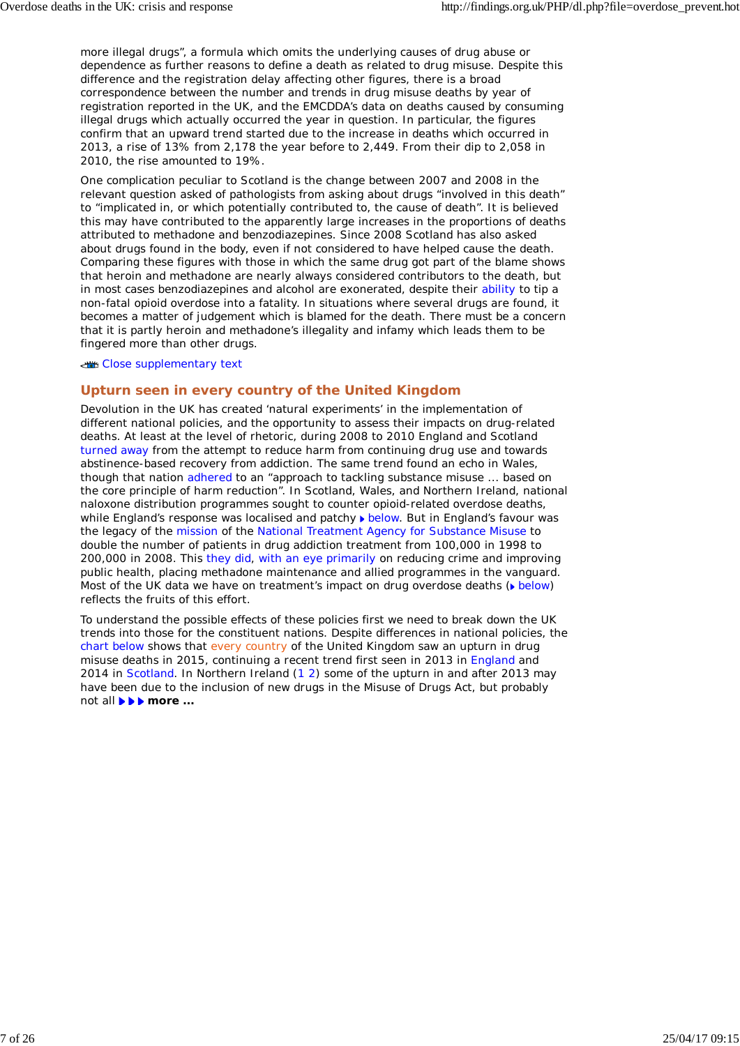more illegal drugs", a formula which omits the underlying causes of drug abuse or dependence as further reasons to define a death as related to drug misuse. Despite this difference and the registration delay affecting other figures, there is a broad correspondence between the number and trends in drug misuse deaths by year of registration reported in the UK, and the EMCDDA's data on deaths caused by consuming illegal drugs which actually occurred the year in question. In particular, the figures confirm that an upward trend started due to the increase in deaths which occurred in 2013, a rise of 13% from 2,178 the year before to 2,449. From their dip to 2,058 in 2010, the rise amounted to 19%.

One complication peculiar to Scotland is the change between 2007 and 2008 in the relevant question asked of pathologists from asking about drugs "involved in this death" to "implicated in, or which potentially contributed to, the cause of death". It is believed this may have contributed to the apparently large increases in the proportions of deaths attributed to methadone and benzodiazepines. Since 2008 Scotland has also asked about drugs found in the body, even if not considered to have helped cause the death. Comparing these figures with those in which the same drug got part of the blame shows that heroin and methadone are nearly always considered contributors to the death, but in most cases benzodiazepines and alcohol are exonerated, despite their ability to tip a non-fatal opioid overdose into a fatality. In situations where several drugs are found, it becomes a matter of judgement which is blamed for the death. There must be a concern that it is partly heroin and methadone's illegality and infamy which leads them to be fingered more than other drugs.

Close supplementary text

### **Upturn seen in every country of the United Kingdom**

Devolution in the UK has created 'natural experiments' in the implementation of different national policies, and the opportunity to assess their impacts on drug-related deaths. At least at the level of rhetoric, during 2008 to 2010 England and Scotland turned away from the attempt to reduce harm from continuing drug use and towards abstinence-based recovery from addiction. The same trend found an echo in Wales, though that nation adhered to an "approach to tackling substance misuse ... based on the core principle of harm reduction". In Scotland, Wales, and Northern Ireland, national naloxone distribution programmes sought to counter opioid-related overdose deaths, while England's response was localised and patchy below. But in England's favour was the legacy of the mission of the National Treatment Agency for Substance Misuse to double the number of patients in drug addiction treatment from 100,000 in 1998 to 200,000 in 2008. This they did, with an eye primarily on reducing crime and improving public health, placing methadone maintenance and allied programmes in the vanguard. Most of the UK data we have on treatment's impact on drug overdose deaths ( $\blacktriangleright$  below) reflects the fruits of this effort.

To understand the possible effects of these policies first we need to break down the UK trends into those for the constituent nations. Despite differences in national policies, the chart below shows that every country of the United Kingdom saw an upturn in drug misuse deaths in 2015, continuing a recent trend first seen in 2013 in England and 2014 in Scotland. In Northern Ireland (1 2) some of the upturn in and after 2013 may have been due to the inclusion of new drugs in the Misuse of Drugs Act, but probably not all *more ...*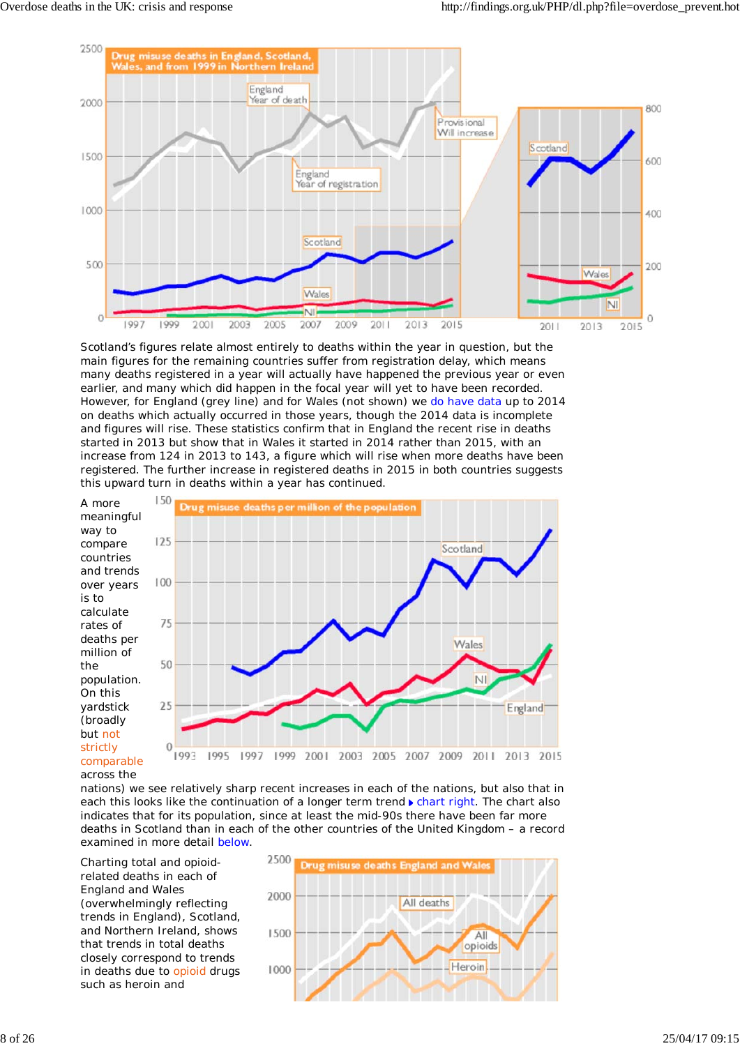

Scotland's figures relate almost entirely to deaths within the year in question, but the main figures for the remaining countries suffer from registration delay, which means many deaths registered in a year will actually have happened the previous year or even earlier, and many which did happen in the focal year will yet to have been recorded. However, for England (grey line) and for Wales (not shown) we do have data up to 2014 on deaths which actually occurred in those years, though the 2014 data is incomplete and figures will rise. These statistics confirm that in England the recent rise in deaths started in 2013 but show that in Wales it started in 2014 rather than 2015, with an increase from 124 in 2013 to 143, a figure which will rise when more deaths have been registered. The further increase in registered deaths in 2015 in both countries suggests this upward turn in deaths within a year has continued.



nations) we see relatively sharp recent increases in each of the nations, but also that in each this looks like the continuation of a longer term trend  $\triangleright$  chart right. The chart also indicates that for its population, since at least the mid-90s there have been far more deaths in Scotland than in each of the other countries of the United Kingdom – a record examined in more detail below.

Charting total and opioidrelated deaths in each of England and Wales (overwhelmingly reflecting trends in England), Scotland, and Northern Ireland, shows that trends in total deaths closely correspond to trends in deaths due to opioid drugs such as heroin and

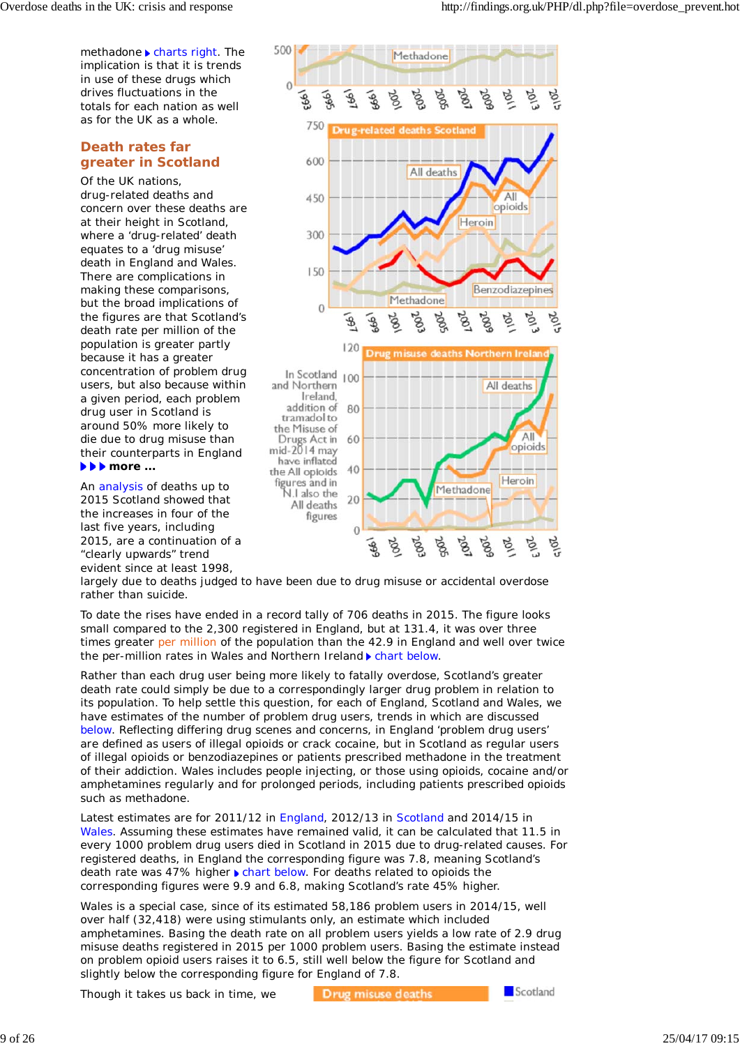methadone  $\blacktriangleright$  charts right. The implication is that it is trends in use of these drugs which drives fluctuations in the totals for each nation as well as for the UK as a whole.

## **Death rates far greater in Scotland**

Of the UK nations, drug-related deaths and concern over these deaths are at their height in Scotland, where a 'drug-related' death equates to a 'drug misuse' death in England and Wales. There are complications in making these comparisons, but the broad implications of the figures are that Scotland's death rate per million of the population is greater partly because it has a greater concentration of problem drug users, but also because within a given period, each problem drug user in Scotland is around 50% more likely to die due to drug misuse than their counterparts in England *more ...*

An analysis of deaths up to 2015 Scotland showed that the increases in four of the last five years, including 2015, are a continuation of a "clearly upwards" trend evident since at least 1998,



largely due to deaths judged to have been due to drug misuse or accidental overdose rather than suicide.

To date the rises have ended in a record tally of 706 deaths in 2015. The figure looks small compared to the 2,300 registered in England, but at 131.4, it was over three times greater per million of the population than the 42.9 in England and well over twice the per-million rates in Wales and Northern Ireland **Chart below.** 

Rather than each drug user being more likely to fatally overdose, Scotland's greater death rate could simply be due to a correspondingly larger drug problem in relation to its population. To help settle this question, for each of England, Scotland and Wales, we have estimates of the number of problem drug users, trends in which are discussed below. Reflecting differing drug scenes and concerns, in England 'problem drug users' are defined as users of illegal opioids or crack cocaine, but in Scotland as regular users of illegal opioids or benzodiazepines or patients prescribed methadone in the treatment of their addiction. Wales includes people injecting, or those using opioids, cocaine and/or amphetamines regularly and for prolonged periods, including patients prescribed opioids such as methadone.

Latest estimates are for 2011/12 in England, 2012/13 in Scotland and 2014/15 in Wales. Assuming these estimates have remained valid, it can be calculated that 11.5 in every 1000 problem drug users died in Scotland in 2015 due to drug-related causes. For registered deaths, in England the corresponding figure was 7.8, meaning Scotland's death rate was 47% higher I chart below. For deaths related to opioids the corresponding figures were 9.9 and 6.8, making Scotland's rate 45% higher.

Wales is a special case, since of its estimated 58,186 problem users in 2014/15, well over half (32,418) were using stimulants only, an estimate which included amphetamines. Basing the death rate on all problem users yields a low rate of 2.9 drug misuse deaths registered in 2015 per 1000 problem users. Basing the estimate instead on problem opioid users raises it to 6.5, still well below the figure for Scotland and slightly below the corresponding figure for England of 7.8.

Though it takes us back in time, we

Drug misuse deaths

Scotland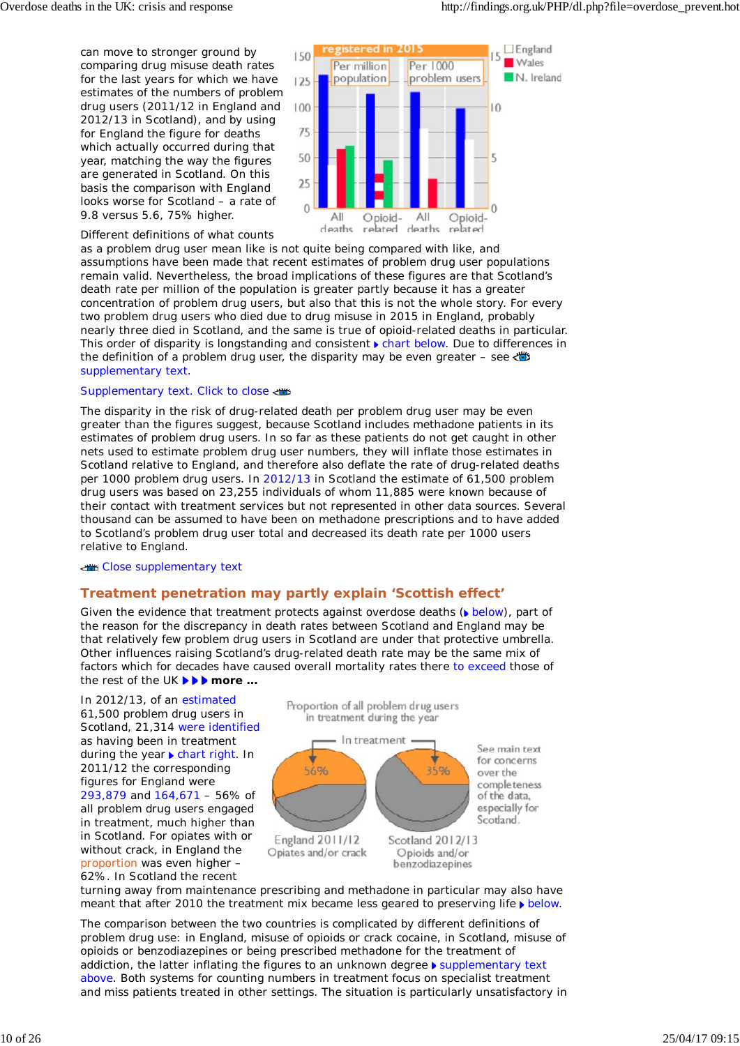can move to stronger ground by comparing drug misuse death rates for the last years for which we have estimates of the numbers of problem drug users (2011/12 in England and 2012/13 in Scotland), and by using for England the figure for deaths which actually occurred during that year, matching the way the figures are generated in Scotland. On this basis the comparison with England looks worse for Scotland – a rate of 9.8 versus 5.6, 75% higher.



Different definitions of what counts

as a problem drug user mean like is not quite being compared with like, and assumptions have been made that recent estimates of problem drug user populations remain valid. Nevertheless, the broad implications of these figures are that Scotland's death rate per million of the population is greater partly because it has a greater concentration of problem drug users, but also that this is not the whole story. For every two problem drug users who died due to drug misuse in 2015 in England, probably nearly three died in Scotland, and the same is true of opioid-related deaths in particular. This order of disparity is longstanding and consistent **F** chart below. Due to differences in the definition of a problem drug user, the disparity may be even greater – see supplementary text.

### Supplementary text. Click to close

The disparity in the risk of drug-related death per problem drug user may be even greater than the figures suggest, because Scotland includes methadone patients in its estimates of problem drug users. In so far as these patients do not get caught in other nets used to estimate problem drug user numbers, they will inflate those estimates in Scotland relative to England, and therefore also deflate the rate of drug-related deaths per 1000 problem drug users. In 2012/13 in Scotland the estimate of 61,500 problem drug users was based on 23,255 individuals of whom 11,885 were known because of their contact with treatment services but not represented in other data sources. Several thousand can be assumed to have been on methadone prescriptions and to have added to Scotland's problem drug user total and decreased its death rate per 1000 users relative to England.

#### Close supplementary text

### **Treatment penetration may partly explain 'Scottish effect'**

Given the evidence that treatment protects against overdose deaths ( $\bullet$  below), part of the reason for the discrepancy in death rates between Scotland and England may be that relatively few problem drug users in Scotland are under that protective umbrella. Other influences raising Scotland's drug-related death rate may be the same mix of factors which for decades have caused overall mortality rates there to exceed those of the rest of the UK *more ...*

In 2012/13, of an estimated 61,500 problem drug users in Scotland, 21,314 were identified as having been in treatment during the year  $\blacktriangleright$  chart right. In 2011/12 the corresponding figures for England were 293,879 and 164,671 – 56% of all problem drug users engaged in treatment, much higher than in Scotland. For opiates with or without crack, in England the proportion was even higher – 62%. In Scotland the recent



benzodiazepines

turning away from maintenance prescribing and methadone in particular may also have meant that after 2010 the treatment mix became less geared to preserving life  $\blacktriangleright$  below.

The comparison between the two countries is complicated by different definitions of problem drug use: in England, misuse of opioids or crack cocaine, in Scotland, misuse of opioids or benzodiazepines or being prescribed methadone for the treatment of addiction, the latter inflating the figures to an unknown degree b supplementary text above. Both systems for counting numbers in treatment focus on specialist treatment and miss patients treated in other settings. The situation is particularly unsatisfactory in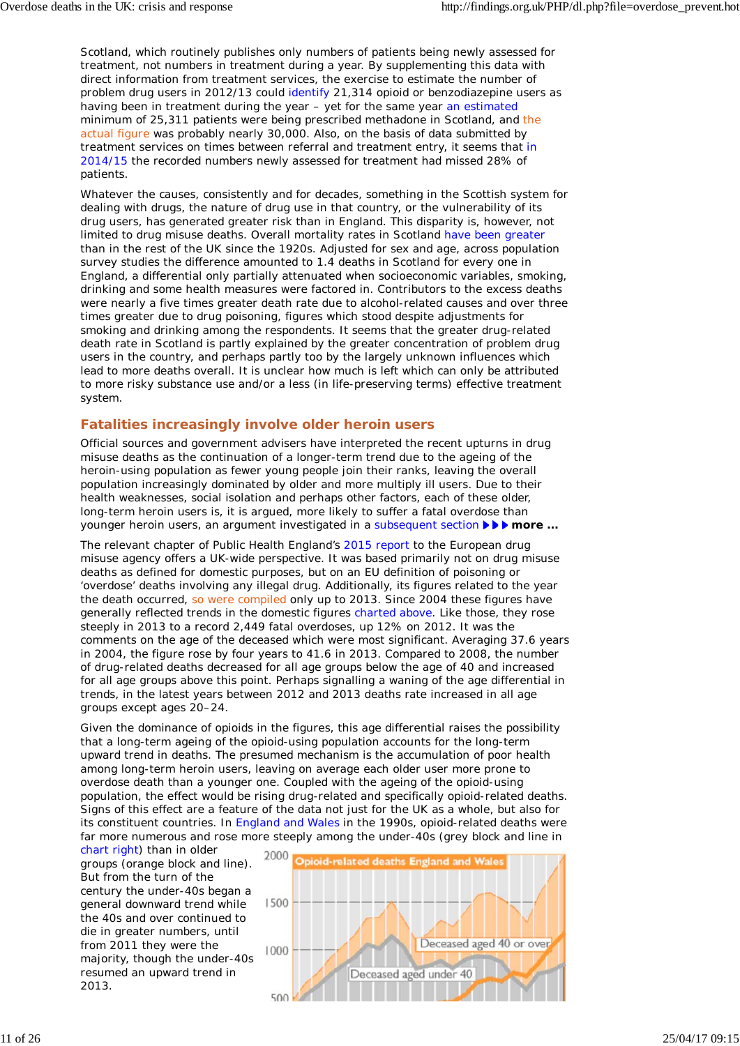Scotland, which routinely publishes only numbers of patients being newly assessed for treatment, not numbers *in* treatment during a year. By supplementing this data with direct information from treatment services, the exercise to estimate the number of problem drug users in 2012/13 could identify 21,314 opioid or benzodiazepine users as having been in treatment during the year – yet for the same year an estimated minimum of 25,311 patients were being prescribed methadone in Scotland, and the actual figure was probably nearly 30,000. Also, on the basis of data submitted by treatment services on times between referral and treatment entry, it seems that in 2014/15 the recorded numbers newly assessed for treatment had missed 28% of patients.

Whatever the causes, consistently and for decades, something in the Scottish system for dealing with drugs, the nature of drug use in that country, or the vulnerability of its drug users, has generated greater risk than in England. This disparity is, however, not limited to drug misuse deaths. Overall mortality rates in Scotland have been greater than in the rest of the UK since the 1920s. Adjusted for sex and age, across population survey studies the difference amounted to 1.4 deaths in Scotland for every one in England, a differential only partially attenuated when socioeconomic variables, smoking, drinking and some health measures were factored in. Contributors to the excess deaths were nearly a five times greater death rate due to alcohol-related causes and over three times greater due to drug poisoning, figures which stood despite adjustments for smoking and drinking among the respondents. It seems that the greater drug-related death rate in Scotland is partly explained by the greater concentration of problem drug users in the country, and perhaps partly too by the largely unknown influences which lead to more deaths overall. It is unclear how much is left which can only be attributed to more risky substance use and/or a less (in life-preserving terms) effective treatment system.

### **Fatalities increasingly involve older heroin users**

Official sources and government advisers have interpreted the recent upturns in drug misuse deaths as the continuation of a longer-term trend due to the ageing of the heroin-using population as fewer young people join their ranks, leaving the overall population increasingly dominated by older and more multiply ill users. Due to their health weaknesses, social isolation and perhaps other factors, each of these older, long-term heroin users is, it is argued, more likely to suffer a fatal overdose than younger heroin users, an argument investigated in a subsequent section **FFF** more ...

The relevant chapter of Public Health England's 2015 report to the European drug misuse agency offers a UK-wide perspective. It was based primarily not on drug misuse deaths as defined for domestic purposes, but on an EU definition of poisoning or 'overdose' deaths involving any illegal drug. Additionally, its figures related to the year the death occurred, so were compiled only up to 2013. Since 2004 these figures have generally reflected trends in the domestic figures charted above. Like those, they rose steeply in 2013 to a record 2,449 fatal overdoses, up 12% on 2012. It was the comments on the age of the deceased which were most significant. Averaging 37.6 years in 2004, the figure rose by four years to 41.6 in 2013. Compared to 2008, the number of drug-related deaths decreased for all age groups below the age of 40 and increased for all age groups above this point. Perhaps signalling a waning of the age differential in trends, in the latest years between 2012 and 2013 deaths rate increased in all age groups except ages 20–24.

Given the dominance of opioids in the figures, this age differential raises the possibility that a long-term ageing of the opioid-using population accounts for the long-term upward trend in deaths. The presumed mechanism is the accumulation of poor health among long-term heroin users, leaving on average each older user more prone to overdose death than a younger one. Coupled with the ageing of the opioid-using population, the effect would be rising drug-related and specifically opioid-related deaths. Signs of this effect are a feature of the data not just for the UK as a whole, but also for its constituent countries. In England and Wales in the 1990s, opioid-related deaths were far more numerous and rose more steeply among the under-40s (grey block and line in

chart right) than in older groups (orange block and line). But from the turn of the century the under-40s began a general downward trend while the 40s and over continued to die in greater numbers, until from 2011 they were the majority, though the under-40s resumed an upward trend in 2013.

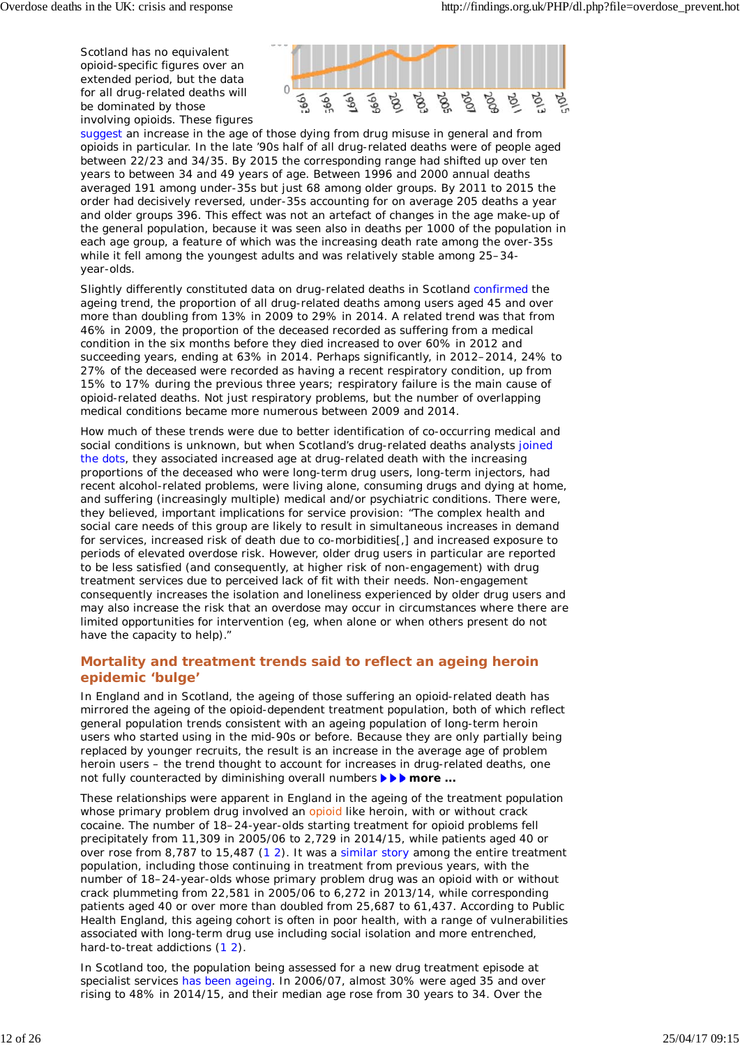Scotland has no equivalent opioid-specific figures over an extended period, but the data for all drug-related deaths will be dominated by those involving opioids. These figures



suggest an increase in the age of those dying from drug misuse in general and from opioids in particular. In the late '90s half of all drug-related deaths were of people aged between 22/23 and 34/35. By 2015 the corresponding range had shifted up over ten years to between 34 and 49 years of age. Between 1996 and 2000 annual deaths averaged 191 among under-35s but just 68 among older groups. By 2011 to 2015 the order had decisively reversed, under-35s accounting for on average 205 deaths a year and older groups 396. This effect was not an artefact of changes in the age make-up of the general population, because it was seen also in deaths per 1000 of the population in each age group, a feature of which was the increasing death rate among the over-35s while it fell among the youngest adults and was relatively stable among 25–34 year-olds.

Slightly differently constituted data on drug-related deaths in Scotland confirmed the ageing trend, the proportion of all drug-related deaths among users aged 45 and over more than doubling from 13% in 2009 to 29% in 2014. A related trend was that from 46% in 2009, the proportion of the deceased recorded as suffering from a medical condition in the six months before they died increased to over 60% in 2012 and succeeding years, ending at 63% in 2014. Perhaps significantly, in 2012–2014, 24% to 27% of the deceased were recorded as having a recent respiratory condition, up from 15% to 17% during the previous three years; respiratory failure is the main cause of opioid-related deaths. Not just respiratory problems, but the number of overlapping medical conditions became more numerous between 2009 and 2014.

How much of these trends were due to better identification of co-occurring medical and social conditions is unknown, but when Scotland's drug-related deaths analysts joined the dots, they associated increased age at drug-related death with the increasing proportions of the deceased who were long-term drug users, long-term injectors, had recent alcohol-related problems, were living alone, consuming drugs and dying at home, and suffering (increasingly multiple) medical and/or psychiatric conditions. There were, they believed, important implications for service provision: "The complex health and social care needs of this group are likely to result in simultaneous increases in demand for services, increased risk of death due to co-morbidities[,] and increased exposure to periods of elevated overdose risk. However, older drug users in particular are reported to be less satisfied (and consequently, at higher risk of non-engagement) with drug treatment services due to perceived lack of fit with their needs. Non-engagement consequently increases the isolation and loneliness experienced by older drug users and may also increase the risk that an overdose may occur in circumstances where there are limited opportunities for intervention (eg, when alone or when others present do not have the capacity to help)."

## **Mortality and treatment trends said to reflect an ageing heroin epidemic 'bulge'**

In England and in Scotland, the ageing of those suffering an opioid-related death has mirrored the ageing of the opioid-dependent treatment population, both of which reflect general population trends consistent with an ageing population of long-term heroin users who started using in the mid-90s or before. Because they are only partially being replaced by younger recruits, the result is an increase in the average age of problem heroin users – the trend thought to account for increases in drug-related deaths, one not fully counteracted by diminishing overall numbers *i i more ...* 

These relationships were apparent in England in the ageing of the treatment population whose primary problem drug involved an opioid like heroin, with or without crack cocaine. The number of 18–24-year-olds starting treatment for opioid problems fell precipitately from 11,309 in 2005/06 to 2,729 in 2014/15, while patients aged 40 or over rose from 8,787 to 15,487 (1 2). It was a similar story among the entire treatment population, including those continuing in treatment from previous years, with the number of 18–24-year-olds whose primary problem drug was an opioid with or without crack plummeting from 22,581 in 2005/06 to 6,272 in 2013/14, while corresponding patients aged 40 or over more than doubled from 25,687 to 61,437. According to Public Health England, this ageing cohort is often in poor health, with a range of vulnerabilities associated with long-term drug use including social isolation and more entrenched, hard-to-treat addictions (1 2).

In Scotland too, the population being assessed for a new drug treatment episode at specialist services has been ageing. In 2006/07, almost 30% were aged 35 and over rising to 48% in 2014/15, and their median age rose from 30 years to 34. Over the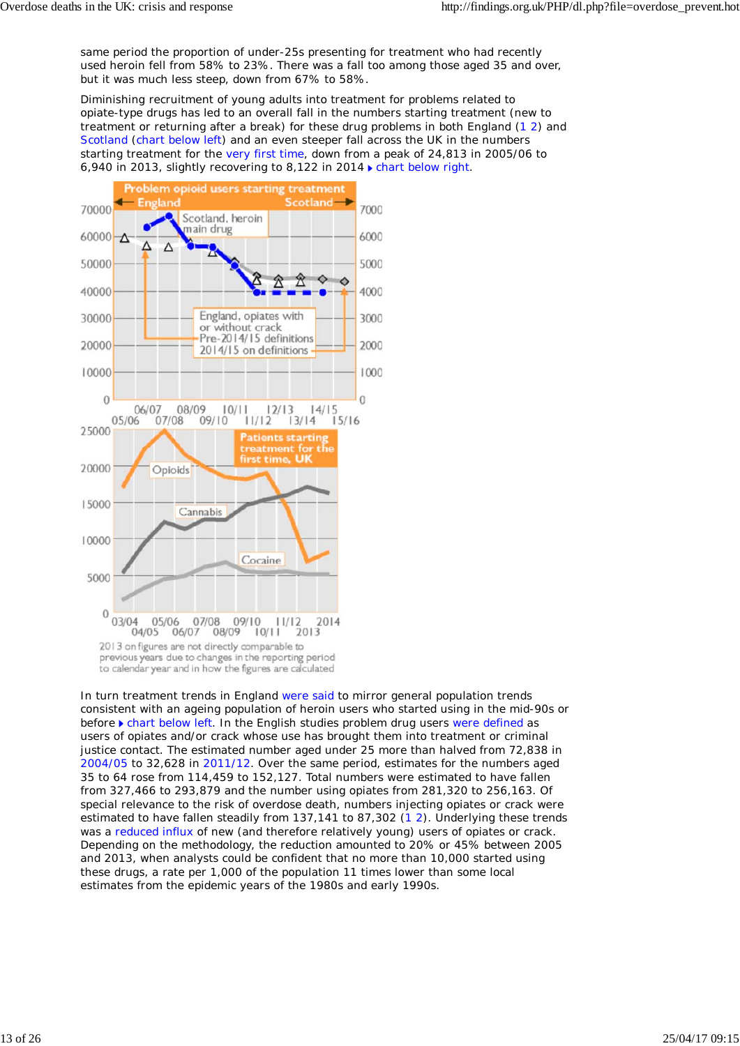same period the proportion of under-25s presenting for treatment who had recently used heroin fell from 58% to 23%. There was a fall too among those aged 35 and over, but it was much less steep, down from 67% to 58%.

Diminishing recruitment of young adults into treatment for problems related to opiate-type drugs has led to an overall fall in the numbers starting treatment (new to treatment or returning after a break) for these drug problems in both England (1 2) and Scotland (chart below left) and an even steeper fall across the UK in the numbers starting treatment for the very first time, down from a peak of 24,813 in 2005/06 to 6,940 in 2013, slightly recovering to 8,122 in 2014  $\blacktriangleright$  chart below right.



In turn treatment trends in England were said to mirror general population trends consistent with an ageing population of heroin users who started using in the mid-90s or before **F** chart below left. In the English studies problem drug users were defined as users of opiates and/or crack whose use has brought them into treatment or criminal justice contact. The estimated number aged under 25 more than halved from 72,838 in 2004/05 to 32,628 in 2011/12. Over the same period, estimates for the numbers aged 35 to 64 rose from 114,459 to 152,127. Total numbers were estimated to have fallen from 327,466 to 293,879 and the number using opiates from 281,320 to 256,163. Of special relevance to the risk of overdose death, numbers injecting opiates or crack were estimated to have fallen steadily from 137,141 to 87,302 (1 2). Underlying these trends was a reduced influx of new (and therefore relatively young) users of opiates or crack. Depending on the methodology, the reduction amounted to 20% or 45% between 2005 and 2013, when analysts could be confident that no more than 10,000 started using these drugs, a rate per 1,000 of the population 11 times lower than some local estimates from the epidemic years of the 1980s and early 1990s.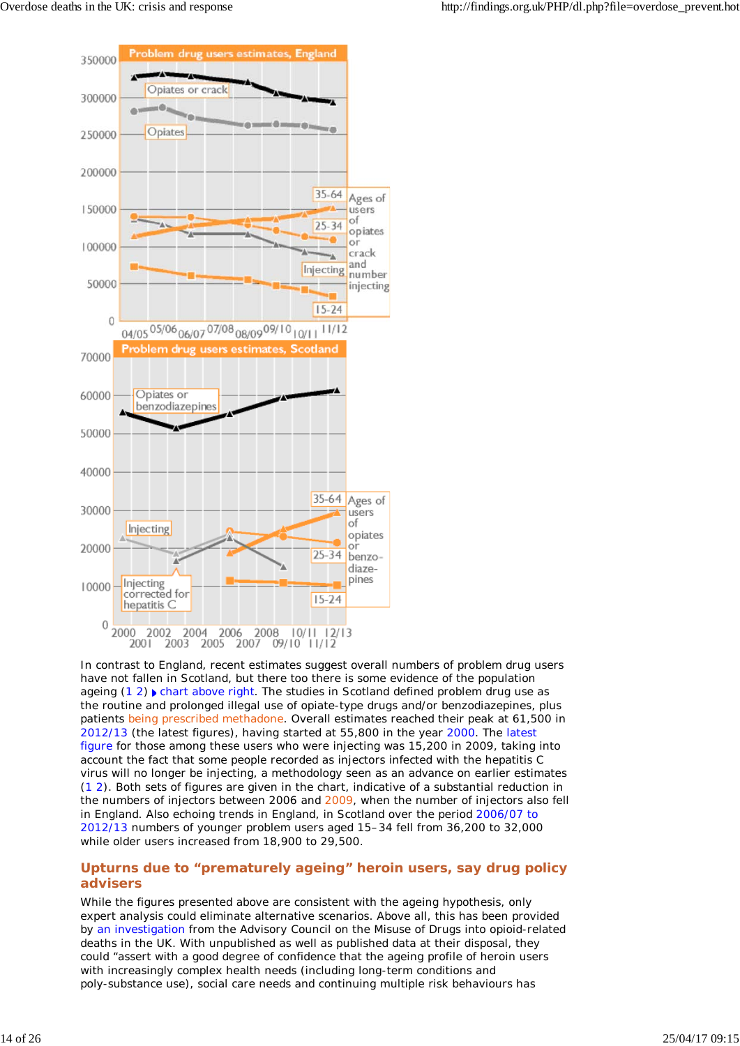

In contrast to England, recent estimates suggest overall numbers of problem drug users have not fallen in Scotland, but there too there is some evidence of the population ageing  $(1 2)$  chart above right. The studies in Scotland defined problem drug use as the routine and prolonged illegal use of opiate-type drugs and/or benzodiazepines, plus patients being prescribed methadone. Overall estimates reached their peak at 61,500 in 2012/13 (the latest figures), having started at 55,800 in the year 2000. The latest figure for those among these users who were injecting was 15,200 in 2009, taking into account the fact that some people recorded as injectors infected with the hepatitis C virus will no longer be injecting, a methodology seen as an advance on earlier estimates (1 2). Both sets of figures are given in the chart, indicative of a substantial reduction in the numbers of injectors between 2006 and 2009, when the number of injectors also fell in England. Also echoing trends in England, in Scotland over the period 2006/07 to 2012/13 numbers of younger problem users aged 15–34 fell from 36,200 to 32,000 while older users increased from 18,900 to 29,500.

### **Upturns due to "prematurely ageing" heroin users, say drug policy advisers**

While the figures presented above are consistent with the ageing hypothesis, only expert analysis could eliminate alternative scenarios. Above all, this has been provided by an investigation from the Advisory Council on the Misuse of Drugs into opioid-related deaths in the UK. With unpublished as well as published data at their disposal, they could "assert with a good degree of confidence that the ageing profile of heroin users with increasingly complex health needs (including long-term conditions and poly-substance use), social care needs and continuing multiple risk behaviours has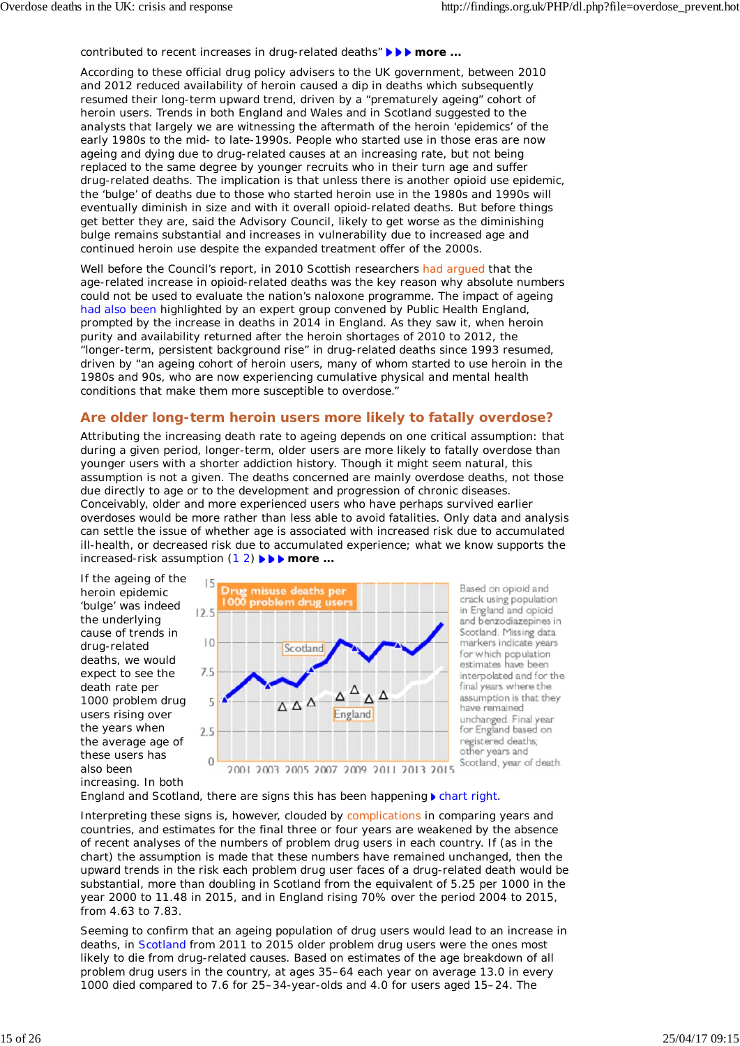contributed to recent increases in drug-related deaths" *more ...*

According to these official drug policy advisers to the UK government, between 2010 and 2012 reduced availability of heroin caused a dip in deaths which subsequently resumed their long-term upward trend, driven by a "prematurely ageing" cohort of heroin users. Trends in both England and Wales and in Scotland suggested to the analysts that largely we are witnessing the aftermath of the heroin 'epidemics' of the early 1980s to the mid- to late-1990s. People who started use in those eras are now ageing and dying due to drug-related causes at an increasing rate, but not being replaced to the same degree by younger recruits who in their turn age and suffer drug-related deaths. The implication is that unless there is another opioid use epidemic, the 'bulge' of deaths due to those who started heroin use in the 1980s and 1990s will eventually diminish in size and with it overall opioid-related deaths. But before things get better they are, said the Advisory Council, likely to get worse as the diminishing bulge remains substantial and increases in vulnerability due to increased age and continued heroin use despite the expanded treatment offer of the 2000s.

Well before the Council's report, in 2010 Scottish researchers had arqued that the age-related increase in opioid-related deaths was the key reason why absolute numbers could not be used to evaluate the nation's naloxone programme. The impact of ageing had also been highlighted by an expert group convened by Public Health England, prompted by the increase in deaths in 2014 in England. As they saw it, when heroin purity and availability returned after the heroin shortages of 2010 to 2012, the "longer-term, persistent background rise" in drug-related deaths since 1993 resumed, driven by "an ageing cohort of heroin users, many of whom started to use heroin in the 1980s and 90s, who are now experiencing cumulative physical and mental health conditions that make them more susceptible to overdose."

### **Are older long-term heroin users more likely to fatally overdose?**

Attributing the increasing death rate to ageing depends on one critical assumption: that during a given period, longer-term, older users are more likely to fatally overdose than younger users with a shorter addiction history. Though it might seem natural, this assumption is not a given. The deaths concerned are mainly overdose deaths, not those due directly to age or to the development and progression of chronic diseases. Conceivably, older and more experienced users who have perhaps survived earlier overdoses would be more rather than less able to avoid fatalities. Only data and analysis can settle the issue of whether age is associated with increased risk due to accumulated ill-health, or decreased risk due to accumulated experience; what we know supports the increased-risk assumption (1 2) *more ...*

If the ageing of the heroin epidemic 'bulge' was indeed the underlying cause of trends in drug-related deaths, we would expect to see the death rate per 1000 problem drug users rising over the years when the average age of these users has also been increasing. In both



England and Scotland, there are signs this has been happening  $\blacktriangleright$  chart right.

Interpreting these signs is, however, clouded by complications in comparing years and countries, and estimates for the final three or four years are weakened by the absence of recent analyses of the numbers of problem drug users in each country. If (as in the chart) the assumption is made that these numbers have remained unchanged, then the upward trends in the risk each problem drug user faces of a drug-related death would be substantial, more than doubling in Scotland from the equivalent of 5.25 per 1000 in the year 2000 to 11.48 in 2015, and in England rising 70% over the period 2004 to 2015, from 4.63 to 7.83.

Seeming to confirm that an ageing population of drug users would lead to an increase in deaths, in Scotland from 2011 to 2015 older problem drug users were the ones most likely to die from drug-related causes. Based on estimates of the age breakdown of all problem drug users in the country, at ages 35–64 each year on average 13.0 in every 1000 died compared to 7.6 for 25–34-year-olds and 4.0 for users aged 15–24. The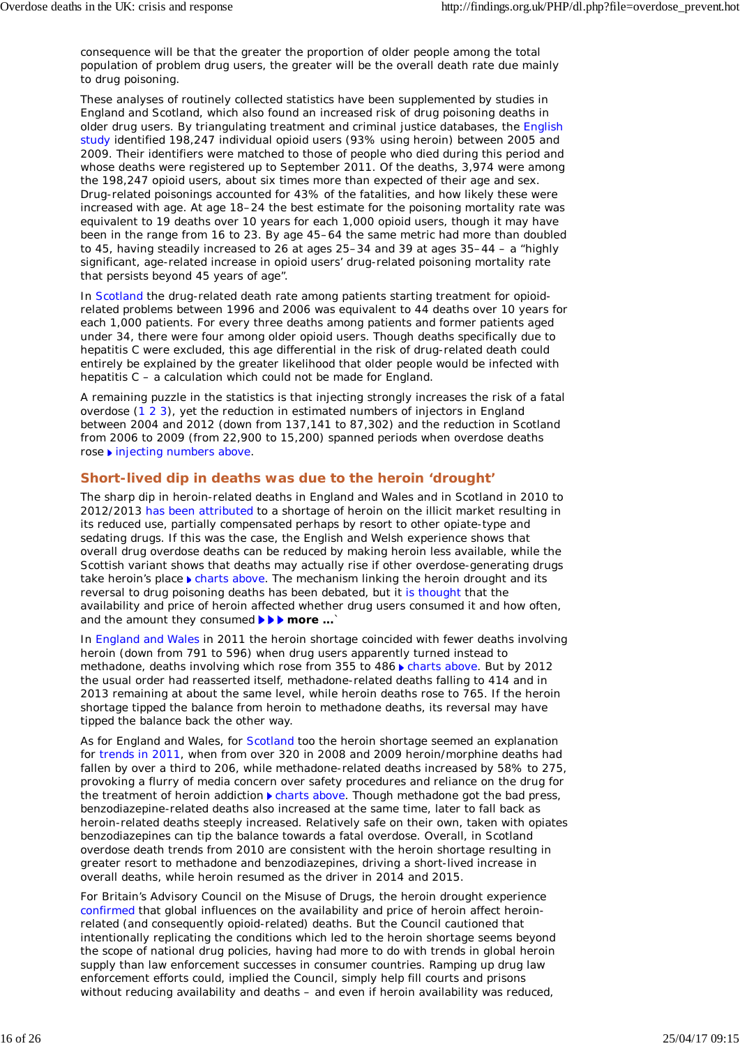consequence will be that the greater the proportion of older people among the total population of problem drug users, the greater will be the overall death rate due mainly to drug poisoning.

These analyses of routinely collected statistics have been supplemented by studies in England and Scotland, which also found an increased risk of drug poisoning deaths in older drug users. By triangulating treatment and criminal justice databases, the English study identified 198,247 individual opioid users (93% using heroin) between 2005 and 2009. Their identifiers were matched to those of people who died during this period and whose deaths were registered up to September 2011. Of the deaths, 3,974 were among the 198,247 opioid users, about six times more than expected of their age and sex. Drug-related poisonings accounted for 43% of the fatalities, and how likely these were increased with age. At age 18–24 the best estimate for the poisoning mortality rate was equivalent to 19 deaths over 10 years for each 1,000 opioid users, though it may have been in the range from 16 to 23. By age 45–64 the same metric had more than doubled to 45, having steadily increased to 26 at ages 25–34 and 39 at ages 35–44 – a "highly significant, age-related increase in opioid users' drug-related poisoning mortality rate that persists beyond 45 years of age".

In Scotland the drug-related death rate among patients starting treatment for opioidrelated problems between 1996 and 2006 was equivalent to 44 deaths over 10 years for each 1,000 patients. For every three deaths among patients and former patients aged under 34, there were four among older opioid users. Though deaths specifically due to hepatitis C were excluded, this age differential in the risk of drug-related death could entirely be explained by the greater likelihood that older people would be infected with hepatitis C – a calculation which could not be made for England.

A remaining puzzle in the statistics is that injecting strongly increases the risk of a fatal overdose (1 2 3), yet the reduction in estimated numbers of injectors in England between 2004 and 2012 (down from 137,141 to 87,302) and the reduction in Scotland from 2006 to 2009 (from 22,900 to 15,200) spanned periods when overdose deaths rose ▶ injecting numbers above.

### **Short-lived dip in deaths was due to the heroin 'drought'**

The sharp dip in heroin-related deaths in England and Wales and in Scotland in 2010 to 2012/2013 has been attributed to a shortage of heroin on the illicit market resulting in its reduced use, partially compensated perhaps by resort to other opiate-type and sedating drugs. If this was the case, the English and Welsh experience shows that overall drug overdose deaths can be reduced by making heroin less available, while the Scottish variant shows that deaths may actually rise if other overdose-generating drugs take heroin's place  $\blacktriangleright$  charts above. The mechanism linking the heroin drought and its reversal to drug poisoning deaths has been debated, but it is thought that the availability and price of heroin affected whether drug users consumed it and how often, and the amount they consumed **> > more** ...`

In England and Wales in 2011 the heroin shortage coincided with fewer deaths involving heroin (down from 791 to 596) when drug users apparently turned instead to methadone, deaths involving which rose from 355 to 486 charts above. But by 2012 the usual order had reasserted itself, methadone-related deaths falling to 414 and in 2013 remaining at about the same level, while heroin deaths rose to 765. If the heroin shortage tipped the balance from heroin to methadone deaths, its reversal may have tipped the balance back the other way.

As for England and Wales, for Scotland too the heroin shortage seemed an explanation for trends in 2011, when from over 320 in 2008 and 2009 heroin/morphine deaths had fallen by over a third to 206, while methadone-related deaths increased by 58% to 275, provoking a flurry of media concern over safety procedures and reliance on the drug for the treatment of heroin addiction **charts above.** Though methadone got the bad press, benzodiazepine-related deaths also increased at the same time, later to fall back as heroin-related deaths steeply increased. Relatively safe on their own, taken with opiates benzodiazepines can tip the balance towards a fatal overdose. Overall, in Scotland overdose death trends from 2010 are consistent with the heroin shortage resulting in greater resort to methadone and benzodiazepines, driving a short-lived increase in overall deaths, while heroin resumed as the driver in 2014 and 2015.

For Britain's Advisory Council on the Misuse of Drugs, the heroin drought experience confirmed that global influences on the availability and price of heroin affect heroinrelated (and consequently opioid-related) deaths. But the Council cautioned that intentionally replicating the conditions which led to the heroin shortage seems beyond the scope of national drug policies, having had more to do with trends in global heroin supply than law enforcement successes in consumer countries. Ramping up drug law enforcement efforts could, implied the Council, simply help fill courts and prisons without reducing availability and deaths – and even if heroin availability was reduced,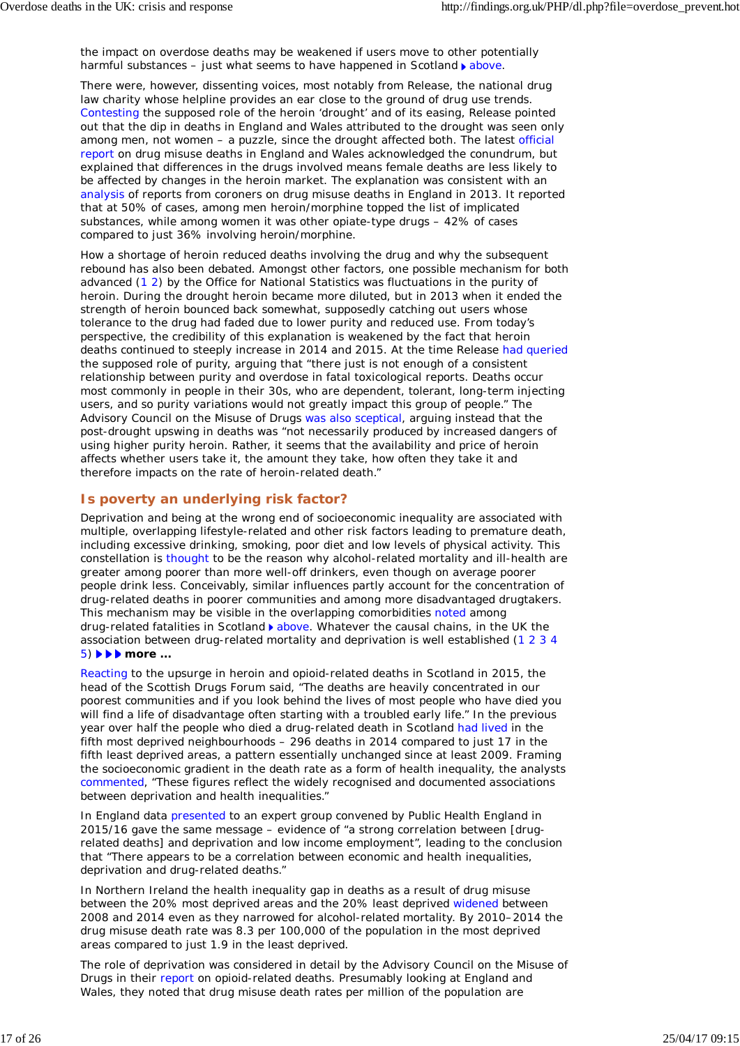the impact on overdose deaths may be weakened if users move to other potentially harmful substances – just what seems to have happened in Scotland  $\blacktriangleright$  above.

There were, however, dissenting voices, most notably from Release, the national drug law charity whose helpline provides an ear close to the ground of drug use trends. Contesting the supposed role of the heroin 'drought' and of its easing, Release pointed out that the dip in deaths in England and Wales attributed to the drought was seen only among men, not women – a puzzle, since the drought affected both. The latest official report on drug misuse deaths in England and Wales acknowledged the conundrum, but explained that differences in the drugs involved means female deaths are less likely to be affected by changes in the heroin market. The explanation was consistent with an analysis of reports from coroners on drug misuse deaths in England in 2013. It reported that at 50% of cases, among men heroin/morphine topped the list of implicated substances, while among women it was other opiate-type drugs – 42% of cases compared to just 36% involving heroin/morphine.

How a shortage of heroin reduced deaths involving the drug and why the subsequent rebound has also been debated. Amongst other factors, one possible mechanism for both advanced (1 2) by the Office for National Statistics was fluctuations in the purity of heroin. During the drought heroin became more diluted, but in 2013 when it ended the strength of heroin bounced back somewhat, supposedly catching out users whose tolerance to the drug had faded due to lower purity and reduced use. From today's perspective, the credibility of this explanation is weakened by the fact that heroin deaths continued to steeply increase in 2014 and 2015. At the time Release had queried the supposed role of purity, arguing that "there just is not enough of a consistent relationship between purity and overdose in fatal toxicological reports. Deaths occur most commonly in people in their 30s, who are dependent, tolerant, long-term injecting users, and so purity variations would not greatly impact this group of people." The Advisory Council on the Misuse of Drugs was also sceptical, arguing instead that the post-drought upswing in deaths was "not necessarily produced by increased dangers of using higher purity heroin. Rather, it seems that the availability and price of heroin affects whether users take it, the amount they take, how often they take it and therefore impacts on the rate of heroin-related death."

## **Is poverty an underlying risk factor?**

Deprivation and being at the wrong end of socioeconomic inequality are associated with multiple, overlapping lifestyle-related and other risk factors leading to premature death, including excessive drinking, smoking, poor diet and low levels of physical activity. This constellation is thought to be the reason why alcohol-related mortality and ill-health are greater among poorer than more well-off drinkers, even though on average poorer people drink less. Conceivably, similar influences partly account for the concentration of drug-related deaths in poorer communities and among more disadvantaged drugtakers. This mechanism may be visible in the overlapping comorbidities noted among drug-related fatalities in Scotland babove. Whatever the causal chains, in the UK the association between drug-related mortality and deprivation is well established (1 2 3 4 5) *more ...*

Reacting to the upsurge in heroin and opioid-related deaths in Scotland in 2015, the head of the Scottish Drugs Forum said, "The deaths are heavily concentrated in our poorest communities and if you look behind the lives of most people who have died you will find a life of disadvantage often starting with a troubled early life." In the previous year over half the people who died a drug-related death in Scotland had lived in the fifth most deprived neighbourhoods – 296 deaths in 2014 compared to just 17 in the fifth least deprived areas, a pattern essentially unchanged since at least 2009. Framing the socioeconomic gradient in the death rate as a form of health inequality, the analysts commented, "These figures reflect the widely recognised and documented associations between deprivation and health inequalities."

In England data presented to an expert group convened by Public Health England in 2015/16 gave the same message – evidence of "a strong correlation between [drugrelated deaths] and deprivation and low income employment", leading to the conclusion that "There appears to be a correlation between economic and health inequalities, deprivation and drug-related deaths."

In Northern Ireland the health inequality gap in deaths as a result of drug misuse between the 20% most deprived areas and the 20% least deprived widened between 2008 and 2014 even as they narrowed for alcohol-related mortality. By 2010–2014 the drug misuse death rate was 8.3 per 100,000 of the population in the most deprived areas compared to just 1.9 in the least deprived.

The role of deprivation was considered in detail by the Advisory Council on the Misuse of Drugs in their report on opioid-related deaths. Presumably looking at England and Wales, they noted that drug misuse death rates per million of the population are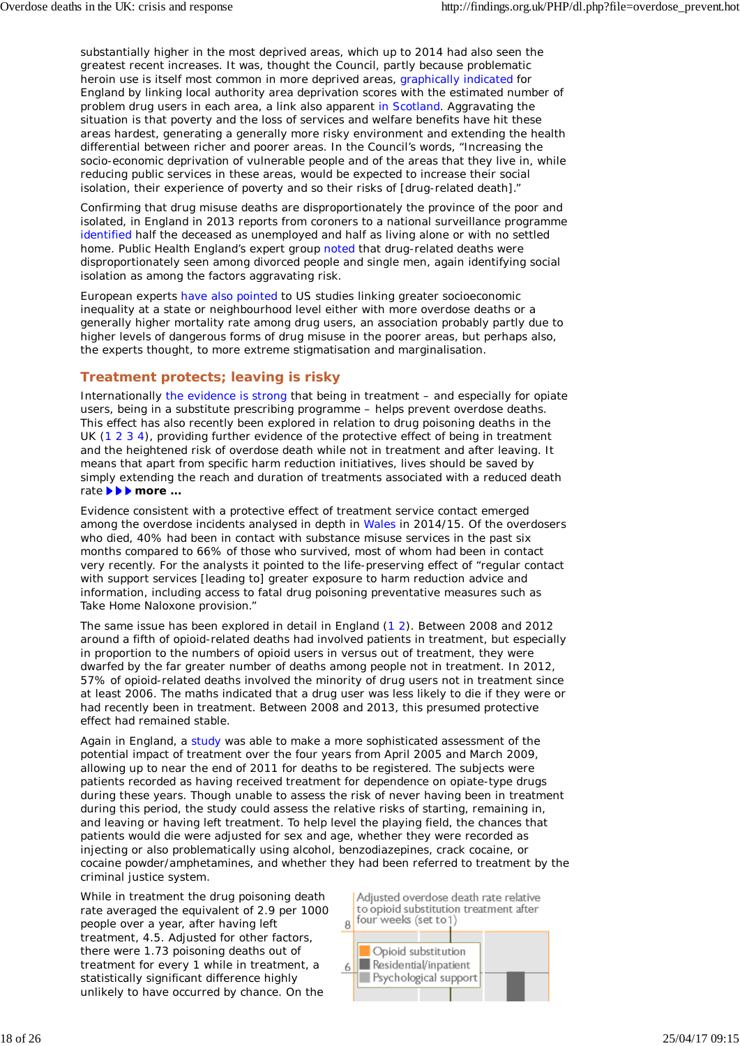substantially higher in the most deprived areas, which up to 2014 had also seen the greatest recent increases. It was, thought the Council, partly because problematic heroin use is itself most common in more deprived areas, graphically indicated for England by linking local authority area deprivation scores with the estimated number of problem drug users in each area, a link also apparent in Scotland. Aggravating the situation is that poverty and the loss of services and welfare benefits have hit these areas hardest, generating a generally more risky environment and extending the health differential between richer and poorer areas. In the Council's words, "Increasing the socio-economic deprivation of vulnerable people and of the areas that they live in, while reducing public services in these areas, would be expected to increase their social isolation, their experience of poverty and so their risks of [drug-related death]."

Confirming that drug misuse deaths are disproportionately the province of the poor and isolated, in England in 2013 reports from coroners to a national surveillance programme identified half the deceased as unemployed and half as living alone or with no settled home. Public Health England's expert group noted that drug-related deaths were disproportionately seen among divorced people and single men, again identifying social isolation as among the factors aggravating risk.

European experts have also pointed to US studies linking greater socioeconomic inequality at a state or neighbourhood level either with more overdose deaths or a generally higher mortality rate among drug users, an association probably partly due to higher levels of dangerous forms of drug misuse in the poorer areas, but perhaps also, the experts thought, to more extreme stigmatisation and marginalisation.

## **Treatment protects; leaving is risky**

Internationally the evidence is strong that being in treatment – and especially for opiate users, being in a substitute prescribing programme – helps prevent overdose deaths. This effect has also recently been explored in relation to drug poisoning deaths in the UK (1 2 3 4), providing further evidence of the protective effect of being in treatment and the heightened risk of overdose death while not in treatment and after leaving. It means that apart from specific harm reduction initiatives, lives should be saved by simply extending the reach and duration of treatments associated with a reduced death rate *► <b>▶ more ...* 

Evidence consistent with a protective effect of treatment service contact emerged among the overdose incidents analysed in depth in Wales in 2014/15. Of the overdosers who died, 40% had been in contact with substance misuse services in the past six months compared to 66% of those who survived, most of whom had been in contact very recently. For the analysts it pointed to the life-preserving effect of "regular contact with support services [leading to] greater exposure to harm reduction advice and information, including access to fatal drug poisoning preventative measures such as Take Home Naloxone provision."

The same issue has been explored in detail in England (1 2). Between 2008 and 2012 around a fifth of opioid-related deaths had involved patients in treatment, but especially in proportion to the numbers of opioid users in versus out of treatment, they were dwarfed by the far greater number of deaths among people not in treatment. In 2012, 57% of opioid-related deaths involved the minority of drug users not in treatment since at least 2006. The maths indicated that a drug user was less likely to die if they were or had recently been in treatment. Between 2008 and 2013, this presumed protective effect had remained stable.

Again in England, a study was able to make a more sophisticated assessment of the potential impact of treatment over the four years from April 2005 and March 2009, allowing up to near the end of 2011 for deaths to be registered. The subjects were patients recorded as having received treatment for dependence on opiate-type drugs during these years. Though unable to assess the risk of never having been in treatment during this period, the study could assess the relative risks of starting, remaining in, and leaving or having left treatment. To help level the playing field, the chances that patients would die were adjusted for sex and age, whether they were recorded as injecting or also problematically using alcohol, benzodiazepines, crack cocaine, or cocaine powder/amphetamines, and whether they had been referred to treatment by the criminal justice system.

While in treatment the drug poisoning death rate averaged the equivalent of 2.9 per 1000 people over a year, after having left treatment, 4.5. Adjusted for other factors, there were 1.73 poisoning deaths out of treatment for every 1 while in treatment, a statistically significant difference highly unlikely to have occurred by chance. On the

Adiusted overdose death rate relative to opioid substitution treatment after four weeks (set to 1) 8

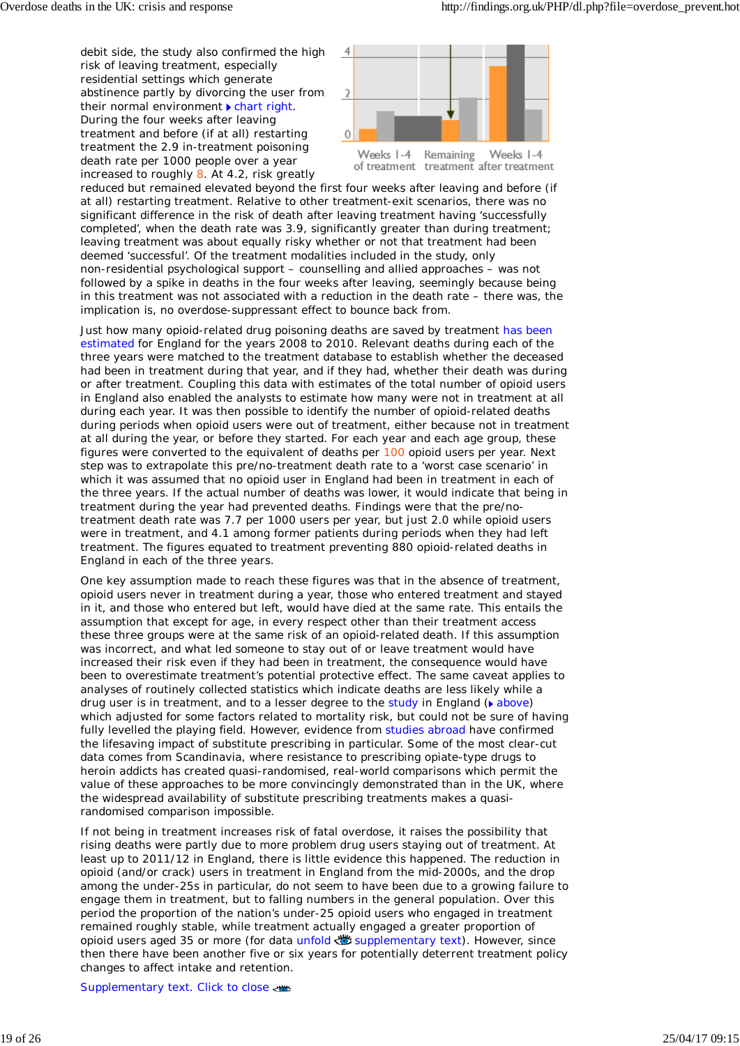debit side, the study also confirmed the high risk of leaving treatment, especially residential settings which generate abstinence partly by divorcing the user from their normal environment  $\blacktriangleright$  chart right. During the four weeks after leaving treatment and before (if at all) restarting treatment the 2.9 in-treatment poisoning death rate per 1000 people over a year increased to roughly 8. At 4.2, risk greatly





reduced but remained elevated beyond the first four weeks after leaving and before (if at all) restarting treatment. Relative to other treatment-exit scenarios, there was no significant difference in the risk of death after leaving treatment having 'successfully completed', when the death rate was 3.9, significantly greater than during treatment; leaving treatment was about equally risky whether or not that treatment had been deemed 'successful'. Of the treatment modalities included in the study, only non-residential psychological support – counselling and allied approaches – was not followed by a spike in deaths in the four weeks after leaving, seemingly because being in this treatment was not associated with a reduction in the death rate – there was, the implication is, no overdose-suppressant effect to bounce back from.

Just how many opioid-related drug poisoning deaths are saved by treatment has been estimated for England for the years 2008 to 2010. Relevant deaths during each of the three years were matched to the treatment database to establish whether the deceased had been in treatment during that year, and if they had, whether their death was during or after treatment. Coupling this data with estimates of the total number of opioid users in England also enabled the analysts to estimate how many were not in treatment at all during each year. It was then possible to identify the number of opioid-related deaths during periods when opioid users were out of treatment, either because not in treatment at all during the year, or before they started. For each year and each age group, these figures were converted to the equivalent of deaths per 100 opioid users per year. Next step was to extrapolate this pre/no-treatment death rate to a 'worst case scenario' in which it was assumed that no opioid user in England had been in treatment in each of the three years. If the actual number of deaths was lower, it would indicate that being in treatment during the year had prevented deaths. Findings were that the pre/notreatment death rate was 7.7 per 1000 users per year, but just 2.0 while opioid users were in treatment, and 4.1 among former patients during periods when they had left treatment. The figures equated to treatment preventing 880 opioid-related deaths in England in each of the three years.

One key assumption made to reach these figures was that in the absence of treatment, opioid users never in treatment during a year, those who entered treatment and stayed in it, and those who entered but left, would have died at the same rate. This entails the assumption that except for age, in every respect other than their treatment access these three groups were at the same risk of an opioid-related death. If this assumption was incorrect, and what led someone to stay out of or leave treatment would have increased their risk *even if they had been in treatment*, the consequence would have been to overestimate treatment's potential protective effect. The same caveat applies to analyses of routinely collected statistics which indicate deaths are less likely while a drug user is in treatment, and to a lesser degree to the study in England  $(\triangleright$  above) which adjusted for some factors related to mortality risk, but could not be sure of having fully levelled the playing field. However, evidence from studies abroad have confirmed the lifesaving impact of substitute prescribing in particular. Some of the most clear-cut data comes from Scandinavia, where resistance to prescribing opiate-type drugs to heroin addicts has created quasi-randomised, real-world comparisons which permit the value of these approaches to be more convincingly demonstrated than in the UK, where the widespread availability of substitute prescribing treatments makes a quasirandomised comparison impossible.

If not being in treatment increases risk of fatal overdose, it raises the possibility that rising deaths were partly due to more problem drug users staying out of treatment. At least up to 2011/12 in England, there is little evidence this happened. The reduction in opioid (and/or crack) users in treatment in England from the mid-2000s, and the drop among the under-25s in particular, do not seem to have been due to a growing failure to engage them in treatment, but to falling numbers in the general population. Over this period the proportion of the nation's under-25 opioid users who engaged in treatment remained roughly stable, while treatment actually engaged a greater proportion of opioid users aged 35 or more (for data unfold supplementary text). However, since then there have been another five or six years for potentially deterrent treatment policy changes to affect intake and retention.

Supplementary text. Click to close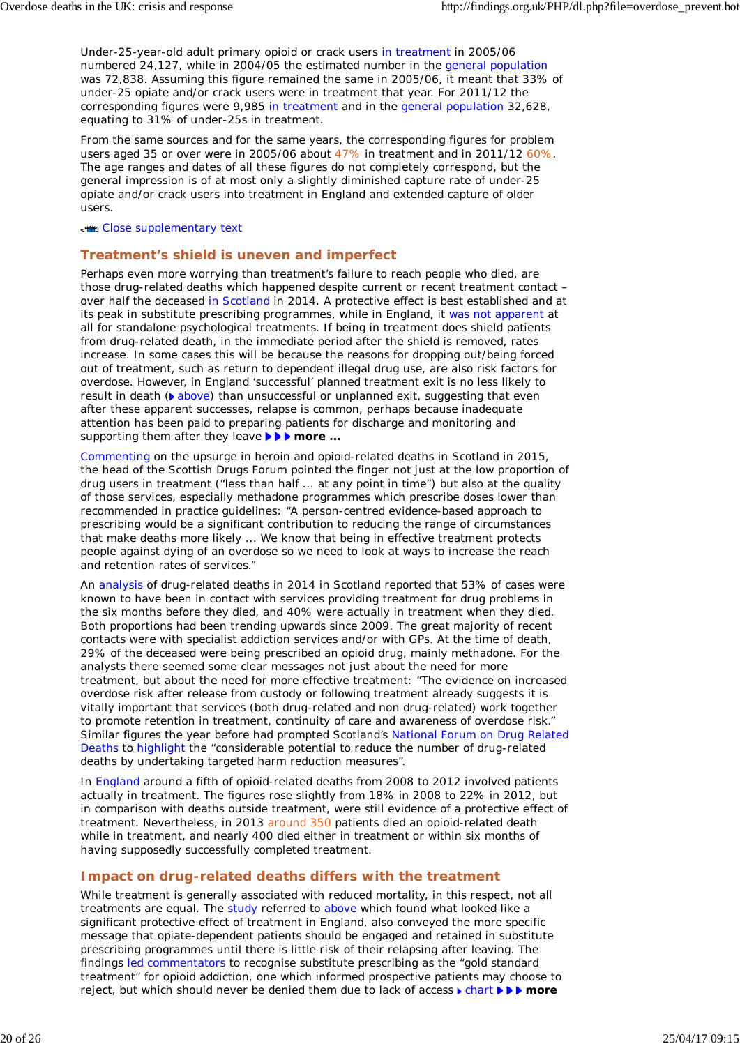Under-25-year-old adult primary opioid or crack users in treatment in 2005/06 numbered 24,127, while in 2004/05 the estimated number in the general population was 72,838. Assuming this figure remained the same in 2005/06, it meant that 33% of under-25 opiate and/or crack users were in treatment that year. For 2011/12 the corresponding figures were 9,985 in treatment and in the general population 32,628, equating to 31% of under-25s in treatment.

From the same sources and for the same years, the corresponding figures for problem users aged 35 or over were in 2005/06 about 47% in treatment and in 2011/12 60%. The age ranges and dates of all these figures do not completely correspond, but the general impression is of at most only a slightly diminished capture rate of under-25 opiate and/or crack users into treatment in England and extended capture of older users.

### Close supplementary text

### **Treatment's shield is uneven and imperfect**

Perhaps even more worrying than treatment's failure to reach people who died, are those drug-related deaths which happened despite current or recent treatment contact – over half the deceased in Scotland in 2014. A protective effect is best established and at its peak in substitute prescribing programmes, while in England, it was not apparent at all for standalone psychological treatments. If being in treatment does shield patients from drug-related death, in the immediate period after the shield is removed, rates increase. In some cases this will be because the reasons for dropping out/being forced out of treatment, such as return to dependent illegal drug use, are also risk factors for overdose. However, in England 'successful' planned treatment exit is no less likely to result in death ( $\bullet$  above) than unsuccessful or unplanned exit, suggesting that even after these apparent successes, relapse is common, perhaps because inadequate attention has been paid to preparing patients for discharge and monitoring and supporting them after they leave *ware ...* 

Commenting on the upsurge in heroin and opioid-related deaths in Scotland in 2015, the head of the Scottish Drugs Forum pointed the finger not just at the low proportion of drug users in treatment ("less than half ... at any point in time") but also at the quality of those services, especially methadone programmes which prescribe doses lower than recommended in practice guidelines: "A person-centred evidence-based approach to prescribing would be a significant contribution to reducing the range of circumstances that make deaths more likely ... We know that being in effective treatment protects people against dying of an overdose so we need to look at ways to increase the reach and retention rates of services."

An analysis of drug-related deaths in 2014 in Scotland reported that 53% of cases were known to have been in contact with services providing treatment for drug problems in the six months before they died, and 40% were actually in treatment when they died. Both proportions had been trending upwards since 2009. The great majority of recent contacts were with specialist addiction services and/or with GPs. At the time of death, 29% of the deceased were being prescribed an opioid drug, mainly methadone. For the analysts there seemed some clear messages not just about the need for more treatment, but about the need for more effective treatment: "The evidence on increased overdose risk after release from custody or following treatment already suggests it is vitally important that services (both drug-related and non drug-related) work together to promote retention in treatment, continuity of care and awareness of overdose risk." Similar figures the year before had prompted Scotland's National Forum on Drug Related Deaths to highlight the "considerable potential to reduce the number of drug-related deaths by undertaking targeted harm reduction measures".

In England around a fifth of opioid-related deaths from 2008 to 2012 involved patients actually in treatment. The figures rose slightly from 18% in 2008 to 22% in 2012, but in comparison with deaths outside treatment, were still evidence of a protective effect of treatment. Nevertheless, in 2013 around 350 patients died an opioid-related death while in treatment, and nearly 400 died either in treatment or within six months of having supposedly successfully completed treatment.

### **Impact on drug-related deaths differs with the treatment**

While treatment is generally associated with reduced mortality, in this respect, not all treatments are equal. The study referred to above which found what looked like a significant protective effect of treatment in England, also conveyed the more specific message that opiate-dependent patients should be engaged and retained in substitute prescribing programmes until there is little risk of their relapsing after leaving. The findings led commentators to recognise substitute prescribing as the "gold standard treatment" for opioid addiction, one which informed prospective patients may choose to reject, but which should never be denied them due to lack of access **F** chart **FFF** more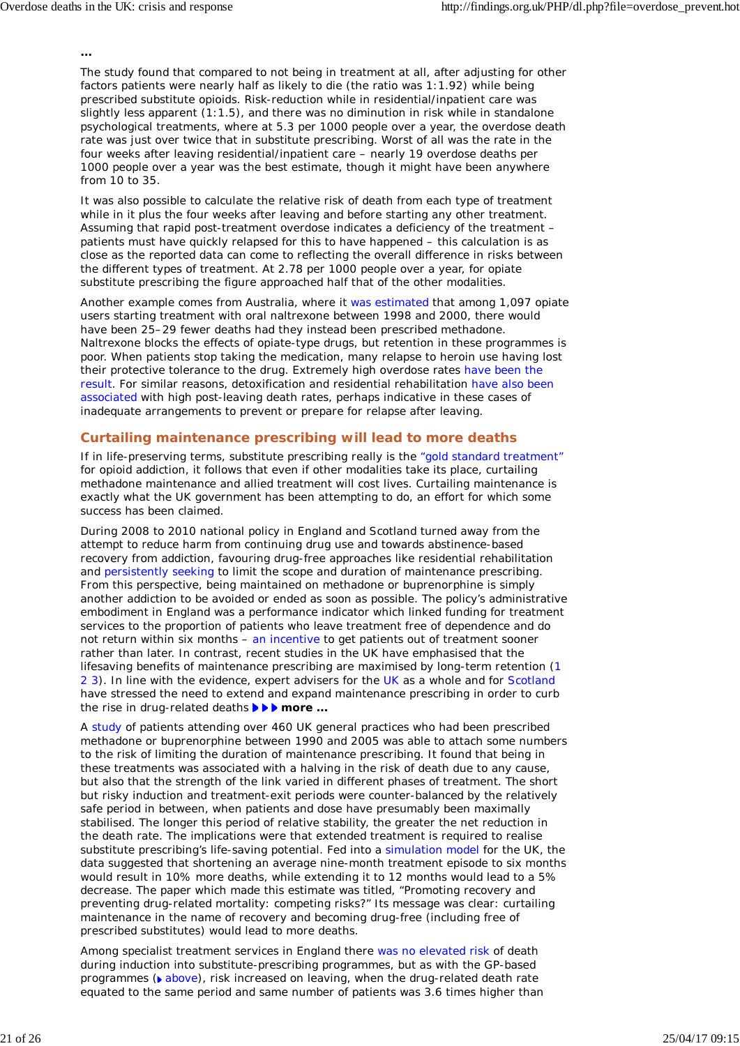*...*

The study found that compared to not being in treatment at all, after adjusting for other factors patients were nearly half as likely to die (the ratio was 1:1.92) while being prescribed substitute opioids. Risk-reduction while in residential/inpatient care was slightly less apparent (1:1.5), and there was no diminution in risk while in standalone psychological treatments, where at 5.3 per 1000 people over a year, the overdose death rate was just over twice that in substitute prescribing. Worst of all was the rate in the four weeks after leaving residential/inpatient care – nearly 19 overdose deaths per 1000 people over a year was the best estimate, though it might have been anywhere from 10 to 35.

It was also possible to calculate the relative risk of death from each type of treatment while in it plus the four weeks after leaving and before starting any other treatment. Assuming that rapid post-treatment overdose indicates a deficiency of the treatment – patients must have quickly relapsed for this to have happened – this calculation is as close as the reported data can come to reflecting the overall difference in risks between the different types of treatment. At 2.78 per 1000 people over a year, for opiate substitute prescribing the figure approached half that of the other modalities.

Another example comes from Australia, where it was estimated that among 1,097 opiate users starting treatment with oral naltrexone between 1998 and 2000, there would have been 25–29 fewer deaths had they instead been prescribed methadone. Naltrexone blocks the effects of opiate-type drugs, but retention in these programmes is poor. When patients stop taking the medication, many relapse to heroin use having lost their protective tolerance to the drug. Extremely high overdose rates have been the result. For similar reasons, detoxification and residential rehabilitation have also been associated with high post-leaving death rates, perhaps indicative in these cases of inadequate arrangements to prevent or prepare for relapse after leaving.

### **Curtailing maintenance prescribing will lead to more deaths**

If in life-preserving terms, substitute prescribing really is the "gold standard treatment" for opioid addiction, it follows that even if other modalities take its place, curtailing methadone maintenance and allied treatment will cost lives. Curtailing maintenance is exactly what the UK government has been attempting to do, an effort for which some success has been claimed.

During 2008 to 2010 national policy in England and Scotland turned away from the attempt to reduce harm from continuing drug use and towards abstinence-based recovery from addiction, favouring drug-free approaches like residential rehabilitation and persistently seeking to limit the scope and duration of maintenance prescribing. From this perspective, being maintained on methadone or buprenorphine is simply another addiction to be avoided or ended as soon as possible. The policy's administrative embodiment in England was a performance indicator which linked funding for treatment services to the proportion of patients who leave treatment free of dependence and do not return within six months – an incentive to get patients out of treatment sooner rather than later. In contrast, recent studies in the UK have emphasised that the lifesaving benefits of maintenance prescribing are maximised by long-term retention (1 2 3). In line with the evidence, expert advisers for the UK as a whole and for Scotland have stressed the need to extend and expand maintenance prescribing in order to curb the rise in drug-related deaths *more ...*

A study of patients attending over 460 UK general practices who had been prescribed methadone or buprenorphine between 1990 and 2005 was able to attach some numbers to the risk of limiting the duration of maintenance prescribing. It found that being in these treatments was associated with a halving in the risk of death due to any cause, but also that the strength of the link varied in different phases of treatment. The short but risky induction and treatment-exit periods were counter-balanced by the relatively safe period in between, when patients and dose have presumably been maximally stabilised. The longer this period of relative stability, the greater the net reduction in the death rate. The implications were that extended treatment is required to realise substitute prescribing's life-saving potential. Fed into a simulation model for the UK, the data suggested that shortening an average nine-month treatment episode to six months would result in 10% more deaths, while extending it to 12 months would lead to a 5% decrease. The paper which made this estimate was titled, "Promoting recovery and preventing drug-related mortality: competing risks?" Its message was clear: curtailing maintenance in the name of recovery and becoming drug-free (including free of prescribed substitutes) would lead to more deaths.

Among specialist treatment services in England there was no elevated risk of death during induction into substitute-prescribing programmes, but as with the GP-based programmes ( $\bullet$  above), risk increased on leaving, when the drug-related death rate equated to the same period and same number of patients was 3.6 times higher than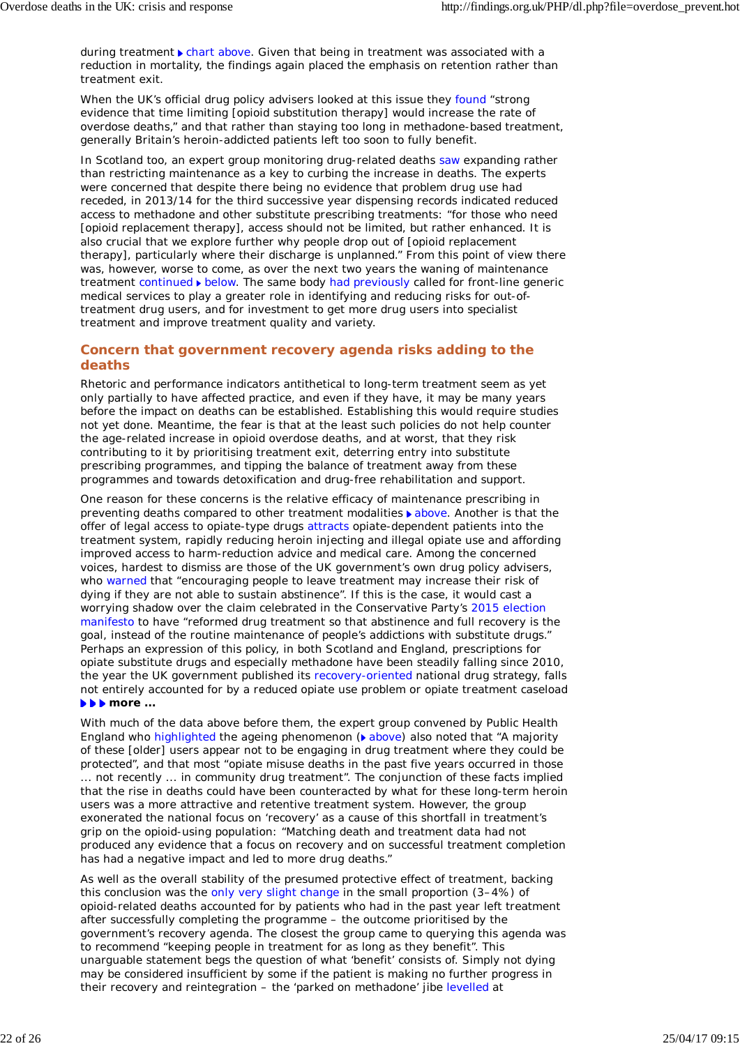during treatment  $\blacktriangleright$  chart above. Given that being in treatment was associated with a reduction in mortality, the findings again placed the emphasis on retention rather than treatment exit.

When the UK's official drug policy advisers looked at this issue they found "strong evidence that time limiting [opioid substitution therapy] would increase the rate of overdose deaths," and that rather than staying too long in methadone-based treatment, generally Britain's heroin-addicted patients left too soon to fully benefit.

In Scotland too, an expert group monitoring drug-related deaths saw expanding rather than restricting maintenance as a key to curbing the increase in deaths. The experts were concerned that despite there being no evidence that problem drug use had receded, in 2013/14 for the third successive year dispensing records indicated reduced access to methadone and other substitute prescribing treatments: "for those who need [opioid replacement therapy], access should not be limited, but rather enhanced. It is also crucial that we explore further why people drop out of [opioid replacement therapy], particularly where their discharge is unplanned." From this point of view there was, however, worse to come, as over the next two years the waning of maintenance treatment continued below. The same body had previously called for front-line generic medical services to play a greater role in identifying and reducing risks for out-oftreatment drug users, and for investment to get more drug users into specialist treatment and improve treatment quality and variety.

### **Concern that government recovery agenda risks adding to the deaths**

Rhetoric and performance indicators antithetical to long-term treatment seem as yet only partially to have affected practice, and even if they have, it may be many years before the impact on deaths can be established. Establishing this would require studies not yet done. Meantime, the fear is that at the least such policies do not help counter the age-related increase in opioid overdose deaths, and at worst, that they risk contributing to it by prioritising treatment exit, deterring entry into substitute prescribing programmes, and tipping the balance of treatment away from these programmes and towards detoxification and drug-free rehabilitation and support.

One reason for these concerns is the relative efficacy of maintenance prescribing in preventing deaths compared to other treatment modalities above. Another is that the offer of legal access to opiate-type drugs attracts opiate-dependent patients into the treatment system, rapidly reducing heroin injecting and illegal opiate use and affording improved access to harm-reduction advice and medical care. Among the concerned voices, hardest to dismiss are those of the UK government's own drug policy advisers, who warned that "encouraging people to leave treatment may increase their risk of dying if they are not able to sustain abstinence". If this is the case, it would cast a worrying shadow over the claim celebrated in the Conservative Party's 2015 election manifesto to have "reformed drug treatment so that abstinence and full recovery is the goal, instead of the routine maintenance of people's addictions with substitute drugs." Perhaps an expression of this policy, in both Scotland and England, prescriptions for opiate substitute drugs and especially methadone have been steadily falling since 2010, the year the UK government published its recovery-oriented national drug strategy, falls not entirely accounted for by a reduced opiate use problem or opiate treatment caseload *more ...*

With much of the data above before them, the expert group convened by Public Health England who highlighted the ageing phenomenon ( $\bullet$  above) also noted that "A majority of these [older] users appear not to be engaging in drug treatment where they could be protected", and that most "opiate misuse deaths in the past five years occurred in those ... not recently ... in community drug treatment". The conjunction of these facts implied that the rise in deaths could have been counteracted by what for these long-term heroin users was a more attractive and retentive treatment system. However, the group exonerated the national focus on 'recovery' as a cause of this shortfall in treatment's grip on the opioid-using population: "Matching death and treatment data had not produced any evidence that a focus on recovery and on successful treatment completion has had a negative impact and led to more drug deaths."

As well as the overall stability of the presumed protective effect of treatment, backing this conclusion was the only very slight change in the small proportion (3–4%) of opioid-related deaths accounted for by patients who had in the past year left treatment after successfully completing the programme – the outcome prioritised by the government's recovery agenda. The closest the group came to querying this agenda was to recommend "keeping people in treatment for as long as they benefit". This unarguable statement begs the question of what 'benefit' consists of. Simply not dying may be considered insufficient by some if the patient is making no further progress in their recovery and reintegration – the 'parked on methadone' jibe levelled at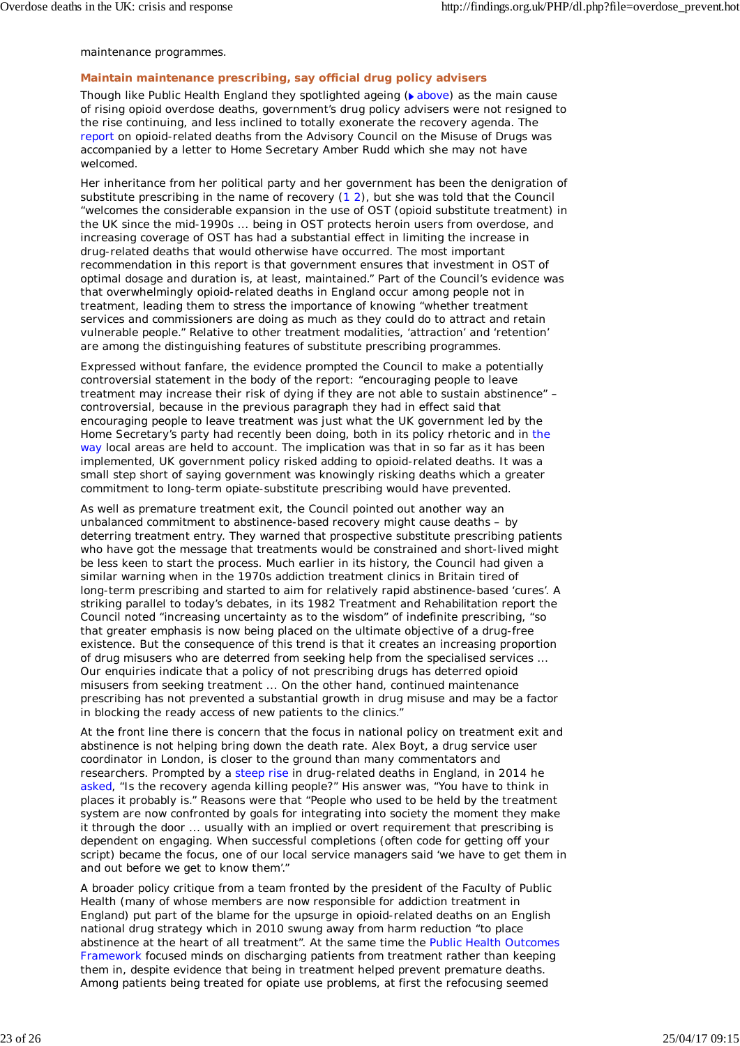### maintenance programmes.

## **Maintain maintenance prescribing, say official drug policy advisers**

Though like Public Health England they spotlighted ageing ( above) as the main cause of rising opioid overdose deaths, government's drug policy advisers were not resigned to the rise continuing, and less inclined to totally exonerate the recovery agenda. The report on opioid-related deaths from the Advisory Council on the Misuse of Drugs was accompanied by a letter to Home Secretary Amber Rudd which she may not have welcomed.

Her inheritance from her political party and her government has been the denigration of substitute prescribing in the name of recovery (1 2), but she was told that the Council "welcomes the considerable expansion in the use of OST (opioid substitute treatment) in the UK since the mid-1990s ... being in OST protects heroin users from overdose, and increasing coverage of OST has had a substantial effect in limiting the increase in drug-related deaths that would otherwise have occurred. The most important recommendation in this report is that government ensures that investment in OST of optimal dosage and duration is, at least, maintained." Part of the Council's evidence was that overwhelmingly opioid-related deaths in England occur among people not in treatment, leading them to stress the importance of knowing "whether treatment services and commissioners are doing as much as they could do to attract and retain vulnerable people." Relative to other treatment modalities, 'attraction' and 'retention' are among the distinguishing features of substitute prescribing programmes.

Expressed without fanfare, the evidence prompted the Council to make a potentially controversial statement in the body of the report: "encouraging people to leave treatment may increase their risk of dying if they are not able to sustain abstinence" – controversial, because in the previous paragraph they had in effect said that encouraging people to leave treatment was just what the UK government led by the Home Secretary's party had recently been doing, both in its policy rhetoric and in the way local areas are held to account. The implication was that in so far as it has been implemented, UK government policy risked adding to opioid-related deaths. It was a small step short of saying government was knowingly risking deaths which a greater commitment to long-term opiate-substitute prescribing would have prevented.

As well as premature treatment exit, the Council pointed out another way an unbalanced commitment to abstinence-based recovery might cause deaths – by deterring treatment entry. They warned that prospective substitute prescribing patients who have got the message that treatments would be constrained and short-lived might be less keen to start the process. Much earlier in its history, the Council had given a similar warning when in the 1970s addiction treatment clinics in Britain tired of long-term prescribing and started to aim for relatively rapid abstinence-based 'cures'. A striking parallel to today's debates, in its 1982 *Treatment and Rehabilitation* report the Council noted "increasing uncertainty as to the wisdom" of indefinite prescribing, "so that greater emphasis is now being placed on the ultimate objective of a drug-free existence. But the consequence of this trend is that it creates an increasing proportion of drug misusers who are deterred from seeking help from the specialised services ... Our enquiries indicate that a policy of not prescribing drugs has deterred opioid misusers from seeking treatment ... On the other hand, continued maintenance prescribing has not prevented a substantial growth in drug misuse and may be a factor in blocking the ready access of new patients to the clinics."

At the front line there is concern that the focus in national policy on treatment exit and abstinence is not helping bring down the death rate. Alex Boyt, a drug service user coordinator in London, is closer to the ground than many commentators and researchers. Prompted by a steep rise in drug-related deaths in England, in 2014 he asked, "Is the recovery agenda killing people?" His answer was, "You have to think in places it probably is." Reasons were that "People who used to be held by the treatment system are now confronted by goals for integrating into society the moment they make it through the door ... usually with an implied or overt requirement that prescribing is dependent on engaging. When successful completions (often code for getting off your script) became the focus, one of our local service managers said 'we have to get them in and out before we get to know them'."

A broader policy critique from a team fronted by the president of the Faculty of Public Health (many of whose members are now responsible for addiction treatment in England) put part of the blame for the upsurge in opioid-related deaths on an English national drug strategy which in 2010 swung away from harm reduction "to place abstinence at the heart of all treatment". At the same time the Public Health Outcomes Framework focused minds on discharging patients from treatment rather than keeping them in, despite evidence that being in treatment helped prevent premature deaths. Among patients being treated for opiate use problems, at first the refocusing seemed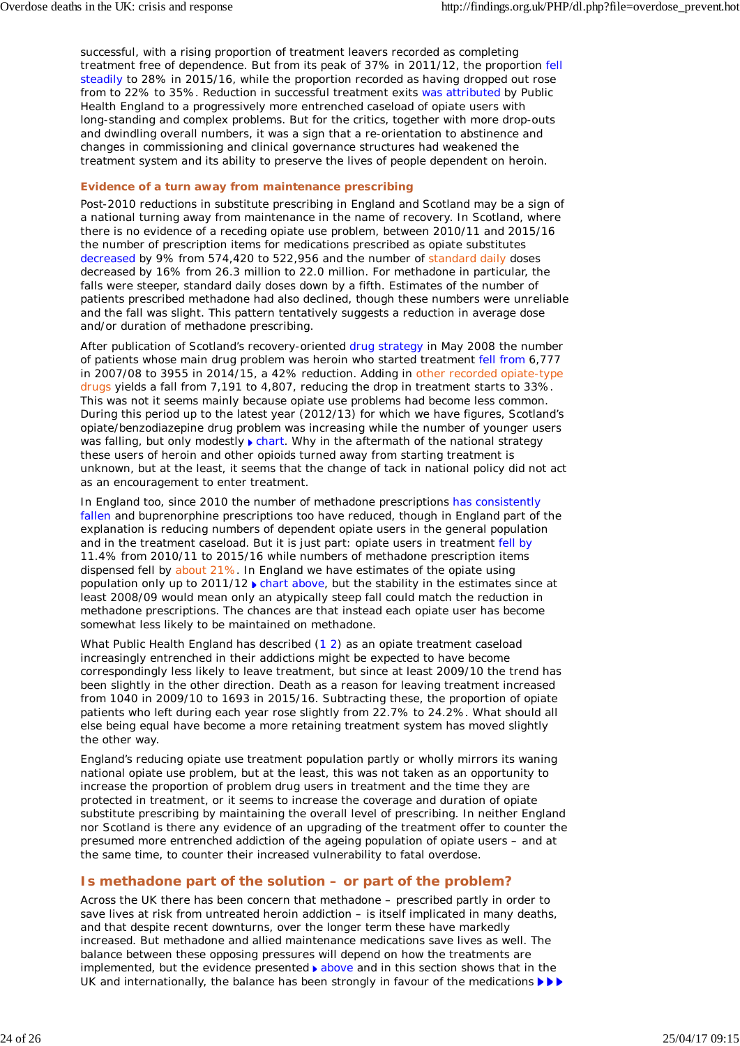successful, with a rising proportion of treatment leavers recorded as completing treatment free of dependence. But from its peak of 37% in 2011/12, the proportion fell steadily to 28% in 2015/16, while the proportion recorded as having dropped out rose from to 22% to 35%. Reduction in successful treatment exits was attributed by Public Health England to a progressively more entrenched caseload of opiate users with long-standing and complex problems. But for the critics, together with more drop-outs and dwindling overall numbers, it was a sign that a re-orientation to abstinence and changes in commissioning and clinical governance structures had weakened the treatment system and its ability to preserve the lives of people dependent on heroin.

### **Evidence of a turn away from maintenance prescribing**

Post-2010 reductions in substitute prescribing in England and Scotland may be a sign of a national turning away from maintenance in the name of recovery. In Scotland, where there is no evidence of a receding opiate use problem, between 2010/11 and 2015/16 the number of prescription items for medications prescribed as opiate substitutes decreased by 9% from 574,420 to 522,956 and the number of standard daily doses decreased by 16% from 26.3 million to 22.0 million. For methadone in particular, the falls were steeper, standard daily doses down by a fifth. Estimates of the number of patients prescribed methadone had also declined, though these numbers were unreliable and the fall was slight. This pattern tentatively suggests a reduction in average dose and/or duration of methadone prescribing.

After publication of Scotland's recovery-oriented drug strategy in May 2008 the number of patients whose main drug problem was heroin who started treatment fell from 6,777 in 2007/08 to 3955 in 2014/15, a 42% reduction. Adding in other recorded opiate-type drugs yields a fall from 7,191 to 4,807, reducing the drop in treatment starts to 33%. This was not it seems mainly because opiate use problems had become less common. During this period up to the latest year (2012/13) for which we have figures, Scotland's opiate/benzodiazepine drug problem was increasing while the number of younger users was falling, but only modestly  $\blacktriangleright$  chart. Why in the aftermath of the national strategy these users of heroin and other opioids turned away from starting treatment is unknown, but at the least, it seems that the change of tack in national policy did not act as an encouragement to enter treatment.

In England too, since 2010 the number of methadone prescriptions has consistently fallen and buprenorphine prescriptions too have reduced, though in England part of the explanation is reducing numbers of dependent opiate users in the general population and in the treatment caseload. But it is just part: opiate users in treatment fell by 11.4% from 2010/11 to 2015/16 while numbers of methadone prescription items dispensed fell by about 21%. In England we have estimates of the opiate using population only up to  $2011/12$  chart above, but the stability in the estimates since at least 2008/09 would mean only an atypically steep fall could match the reduction in methadone prescriptions. The chances are that instead each opiate user has become somewhat less likely to be maintained on methadone.

What Public Health England has described (1 2) as an opiate treatment caseload increasingly entrenched in their addictions might be expected to have become correspondingly less likely to leave treatment, but since at least 2009/10 the trend has been slightly in the other direction. Death as a reason for leaving treatment increased from 1040 in 2009/10 to 1693 in 2015/16. Subtracting these, the proportion of opiate patients who left during each year rose slightly from 22.7% to 24.2%. What should all else being equal have become a more retaining treatment system has moved slightly the other way.

England's reducing opiate use treatment population partly or wholly mirrors its waning national opiate use problem, but at the least, this was not taken as an opportunity to increase the proportion of problem drug users in treatment and the time they are protected in treatment, or it seems to increase the coverage and duration of opiate substitute prescribing by maintaining the overall level of prescribing. In neither England nor Scotland is there any evidence of an upgrading of the treatment offer to counter the presumed more entrenched addiction of the ageing population of opiate users – and at the same time, to counter their increased vulnerability to fatal overdose.

### **Is methadone part of the solution – or part of the problem?**

Across the UK there has been concern that methadone – prescribed partly in order to save lives at risk from untreated heroin addiction – is itself implicated in many deaths, and that despite recent downturns, over the longer term these have markedly increased. But methadone and allied maintenance medications save lives as well. The balance between these opposing pressures will depend on how the treatments are implemented, but the evidence presented  $\blacktriangleright$  above and in this section shows that in the UK and internationally, the balance has been strongly in favour of the medications  $\blacktriangleright\blacktriangleright$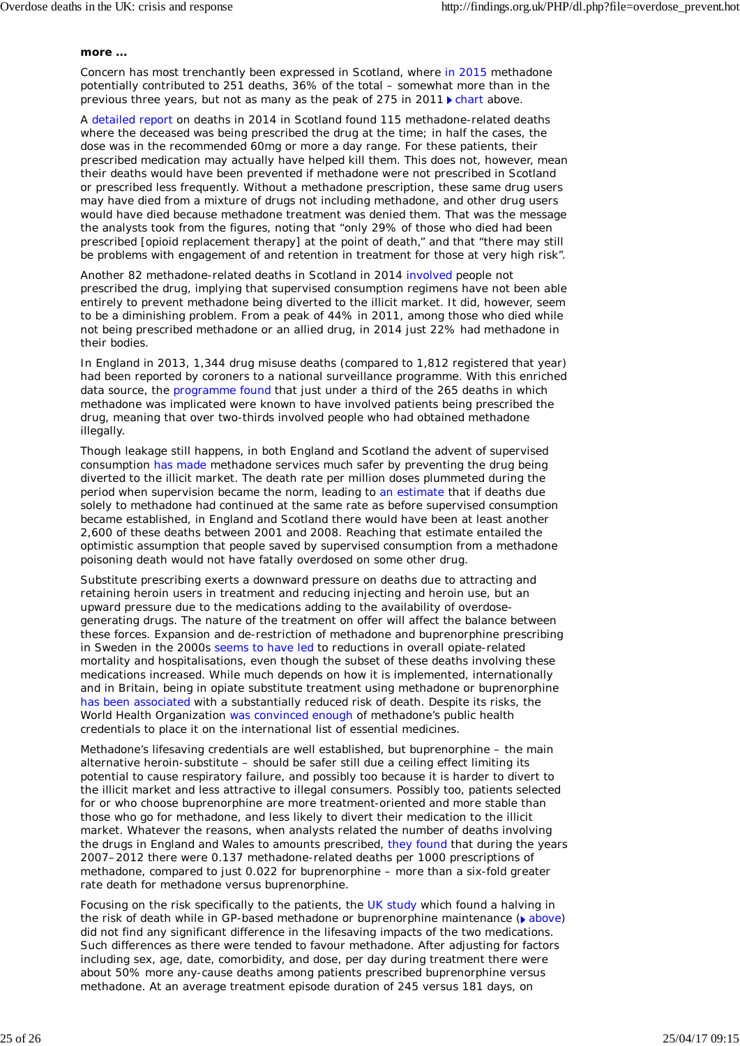#### *more ...*

Concern has most trenchantly been expressed in Scotland, where in 2015 methadone potentially contributed to 251 deaths, 36% of the total – somewhat more than in the previous three years, but not as many as the peak of 275 in 2011  $\blacktriangleright$  chart above.

A detailed report on deaths in 2014 in Scotland found 115 methadone-related deaths where the deceased was being prescribed the drug at the time; in half the cases, the dose was in the recommended 60mg or more a day range. For these patients, their prescribed medication may actually have helped kill them. This does not, however, mean their deaths would have been prevented if methadone were not prescribed in Scotland or prescribed less frequently. Without a methadone prescription, these same drug users may have died from a mixture of drugs not including methadone, and other drug users would have died because methadone treatment was denied them. That was the message the analysts took from the figures, noting that "only 29% of those who died had been prescribed [opioid replacement therapy] at the point of death," and that "there may still be problems with engagement of and retention in treatment for those at very high risk".

Another 82 methadone-related deaths in Scotland in 2014 involved people not prescribed the drug, implying that supervised consumption regimens have not been able entirely to prevent methadone being diverted to the illicit market. It did, however, seem to be a diminishing problem. From a peak of 44% in 2011, among those who died while not being prescribed methadone or an allied drug, in 2014 just 22% had methadone in their bodies.

In England in 2013, 1,344 drug misuse deaths (compared to 1,812 registered that year) had been reported by coroners to a national surveillance programme. With this enriched data source, the programme found that just under a third of the 265 deaths in which methadone was implicated were known to have involved patients being prescribed the drug, meaning that over two-thirds involved people who had obtained methadone illegally.

Though leakage still happens, in both England and Scotland the advent of supervised consumption has made methadone services much safer by preventing the drug being diverted to the illicit market. The death rate per million doses plummeted during the period when supervision became the norm, leading to an estimate that if deaths due solely to methadone had continued at the same rate as before supervised consumption became established, in England and Scotland there would have been at least another 2,600 of these deaths between 2001 and 2008. Reaching that estimate entailed the optimistic assumption that people saved by supervised consumption from a methadone poisoning death would not have fatally overdosed on some other drug.

Substitute prescribing exerts a downward pressure on deaths due to attracting and retaining heroin users in treatment and reducing injecting and heroin use, but an upward pressure due to the medications adding to the availability of overdosegenerating drugs. The nature of the treatment on offer will affect the balance between these forces. Expansion and de-restriction of methadone and buprenorphine prescribing in Sweden in the 2000s seems to have led to reductions in overall opiate-related mortality and hospitalisations, even though the subset of these deaths involving these medications increased. While much depends on how it is implemented, internationally and in Britain, being in opiate substitute treatment using methadone or buprenorphine has been associated with a substantially reduced risk of death. Despite its risks, the World Health Organization was convinced enough of methadone's public health credentials to place it on the international list of essential medicines.

Methadone's lifesaving credentials are well established, but buprenorphine – the main alternative heroin-substitute – should be safer still due a ceiling effect limiting its potential to cause respiratory failure, and possibly too because it is harder to divert to the illicit market and less attractive to illegal consumers. Possibly too, patients selected for or who choose buprenorphine are more treatment-oriented and more stable than those who go for methadone, and less likely to divert their medication to the illicit market. Whatever the reasons, when analysts related the number of deaths involving the drugs in England and Wales to amounts prescribed, they found that during the years 2007–2012 there were 0.137 methadone-related deaths per 1000 prescriptions of methadone, compared to just 0.022 for buprenorphine – more than a six-fold greater rate death for methadone versus buprenorphine.

Focusing on the risk specifically to the patients, the UK study which found a halving in the risk of death while in GP-based methadone or buprenorphine maintenance ( $\bullet$  above) did not find any significant difference in the lifesaving impacts of the two medications. Such differences as there were tended to favour methadone. After adjusting for factors including sex, age, date, comorbidity, and dose, per day during treatment there were about 50% more any-cause deaths among patients prescribed buprenorphine versus methadone. At an average treatment episode duration of 245 versus 181 days, on